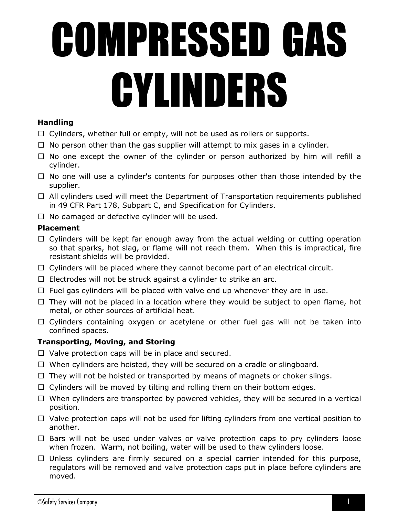# COMPRESSED GAS CYLINDERS

#### **Handling**

- $\Box$  Cylinders, whether full or empty, will not be used as rollers or supports.
- $\Box$  No person other than the gas supplier will attempt to mix gases in a cylinder.
- $\Box$  No one except the owner of the cylinder or person authorized by him will refill a cylinder.
- $\Box$  No one will use a cylinder's contents for purposes other than those intended by the supplier.
- $\Box$  All cylinders used will meet the Department of Transportation requirements published in 49 CFR Part 178, Subpart C, and Specification for Cylinders.
- $\Box$  No damaged or defective cylinder will be used.

#### **Placement**

- $\Box$  Cylinders will be kept far enough away from the actual welding or cutting operation so that sparks, hot slag, or flame will not reach them. When this is impractical, fire resistant shields will be provided.
- $\Box$  Cylinders will be placed where they cannot become part of an electrical circuit.
- $\Box$  Electrodes will not be struck against a cylinder to strike an arc.
- $\Box$  Fuel gas cylinders will be placed with valve end up whenever they are in use.
- $\Box$  They will not be placed in a location where they would be subject to open flame, hot metal, or other sources of artificial heat.
- $\Box$  Cylinders containing oxygen or acetylene or other fuel gas will not be taken into confined spaces.

### **Transporting, Moving, and Storing**

- $\Box$  Valve protection caps will be in place and secured.
- $\Box$  When cylinders are hoisted, they will be secured on a cradle or slingboard.
- $\Box$  They will not be hoisted or transported by means of magnets or choker slings.
- $\Box$  Cylinders will be moved by tilting and rolling them on their bottom edges.
- $\Box$  When cylinders are transported by powered vehicles, they will be secured in a vertical position.
- $\Box$  Valve protection caps will not be used for lifting cylinders from one vertical position to another.
- $\Box$  Bars will not be used under valves or valve protection caps to pry cylinders loose when frozen. Warm, not boiling, water will be used to thaw cylinders loose.
- $\Box$  Unless cylinders are firmly secured on a special carrier intended for this purpose, regulators will be removed and valve protection caps put in place before cylinders are moved.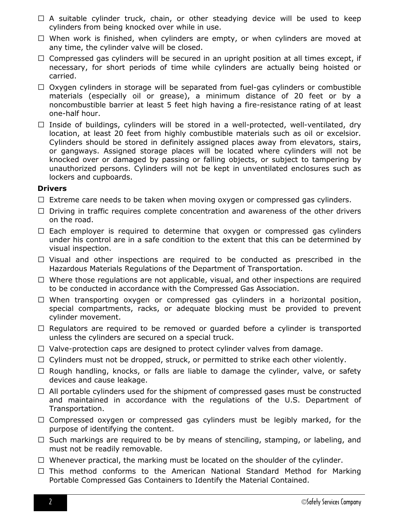- $\Box$  A suitable cylinder truck, chain, or other steadying device will be used to keep cylinders from being knocked over while in use.
- $\Box$  When work is finished, when cylinders are empty, or when cylinders are moved at any time, the cylinder valve will be closed.
- $\Box$  Compressed gas cylinders will be secured in an upright position at all times except, if necessary, for short periods of time while cylinders are actually being hoisted or carried.
- $\Box$  Oxygen cylinders in storage will be separated from fuel-gas cylinders or combustible materials (especially oil or grease), a minimum distance of 20 feet or by a noncombustible barrier at least 5 feet high having a fire-resistance rating of at least one-half hour.
- $\Box$  Inside of buildings, cylinders will be stored in a well-protected, well-ventilated, dry location, at least 20 feet from highly combustible materials such as oil or excelsior. Cylinders should be stored in definitely assigned places away from elevators, stairs, or gangways. Assigned storage places will be located where cylinders will not be knocked over or damaged by passing or falling objects, or subject to tampering by unauthorized persons. Cylinders will not be kept in unventilated enclosures such as lockers and cupboards.

#### **Drivers**

- $\Box$  Extreme care needs to be taken when moving oxygen or compressed gas cylinders.
- $\Box$  Driving in traffic requires complete concentration and awareness of the other drivers on the road.
- $\Box$  Each employer is required to determine that oxygen or compressed gas cylinders under his control are in a safe condition to the extent that this can be determined by visual inspection.
- $\Box$  Visual and other inspections are required to be conducted as prescribed in the Hazardous Materials Regulations of the Department of Transportation.
- $\Box$  Where those regulations are not applicable, visual, and other inspections are reguired to be conducted in accordance with the Compressed Gas Association.
- $\Box$  When transporting oxygen or compressed gas cylinders in a horizontal position, special compartments, racks, or adequate blocking must be provided to prevent cylinder movement.
- $\Box$  Regulators are required to be removed or guarded before a cylinder is transported unless the cylinders are secured on a special truck.
- $\Box$  Valve-protection caps are designed to protect cylinder valves from damage.
- $\Box$  Cylinders must not be dropped, struck, or permitted to strike each other violently.
- $\Box$  Rough handling, knocks, or falls are liable to damage the cylinder, valve, or safety devices and cause leakage.
- $\Box$  All portable cylinders used for the shipment of compressed gases must be constructed and maintained in accordance with the regulations of the U.S. Department of Transportation.
- $\Box$  Compressed oxygen or compressed gas cylinders must be legibly marked, for the purpose of identifying the content.
- $\Box$  Such markings are required to be by means of stenciling, stamping, or labeling, and must not be readily removable.
- $\Box$  Whenever practical, the marking must be located on the shoulder of the cylinder.
- $\Box$  This method conforms to the American National Standard Method for Marking Portable Compressed Gas Containers to Identify the Material Contained.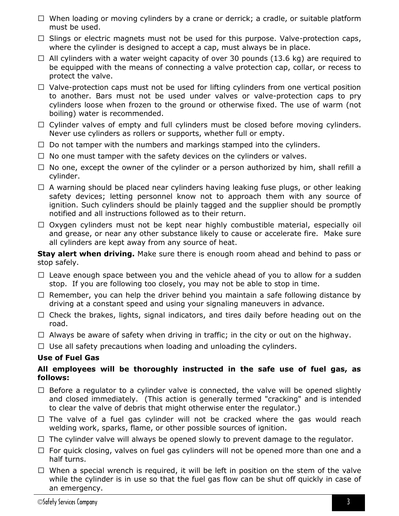- $\Box$  When loading or moving cylinders by a crane or derrick; a cradle, or suitable platform must be used.
- $\Box$  Slings or electric magnets must not be used for this purpose. Valve-protection caps, where the cylinder is designed to accept a cap, must always be in place.
- $\Box$  All cylinders with a water weight capacity of over 30 pounds (13.6 kg) are required to be equipped with the means of connecting a valve protection cap, collar, or recess to protect the valve.
- $\Box$  Valve-protection caps must not be used for lifting cylinders from one vertical position to another. Bars must not be used under valves or valve-protection caps to pry cylinders loose when frozen to the ground or otherwise fixed. The use of warm (not boiling) water is recommended.
- $\Box$  Cylinder valves of empty and full cylinders must be closed before moving cylinders. Never use cylinders as rollers or supports, whether full or empty.
- $\Box$  Do not tamper with the numbers and markings stamped into the cylinders.
- $\Box$  No one must tamper with the safety devices on the cylinders or valves.
- $\Box$  No one, except the owner of the cylinder or a person authorized by him, shall refill a cylinder.
- $\Box$  A warning should be placed near cylinders having leaking fuse plugs, or other leaking safety devices; letting personnel know not to approach them with any source of ignition. Such cylinders should be plainly tagged and the supplier should be promptly notified and all instructions followed as to their return.
- $\Box$  Oxygen cylinders must not be kept near highly combustible material, especially oil and grease, or near any other substance likely to cause or accelerate fire. Make sure all cylinders are kept away from any source of heat.

**Stay alert when driving.** Make sure there is enough room ahead and behind to pass or stop safely.

- $\Box$  Leave enough space between you and the vehicle ahead of you to allow for a sudden stop. If you are following too closely, you may not be able to stop in time.
- $\Box$  Remember, you can help the driver behind you maintain a safe following distance by driving at a constant speed and using your signaling maneuvers in advance.
- $\Box$  Check the brakes, lights, signal indicators, and tires daily before heading out on the road.
- $\Box$  Always be aware of safety when driving in traffic; in the city or out on the highway.

 $\Box$  Use all safety precautions when loading and unloading the cylinders.

#### **Use of Fuel Gas**

#### **All employees will be thoroughly instructed in the safe use of fuel gas, as follows:**

- $\Box$  Before a regulator to a cylinder valve is connected, the valve will be opened slightly and closed immediately. (This action is generally termed "cracking" and is intended to clear the valve of debris that might otherwise enter the regulator.)
- $\Box$  The valve of a fuel gas cylinder will not be cracked where the gas would reach welding work, sparks, flame, or other possible sources of ignition.
- $\Box$  The cylinder valve will always be opened slowly to prevent damage to the regulator.
- $\Box$  For quick closing, valves on fuel gas cylinders will not be opened more than one and a half turns.
- $\Box$  When a special wrench is required, it will be left in position on the stem of the valve while the cylinder is in use so that the fuel gas flow can be shut off quickly in case of an emergency.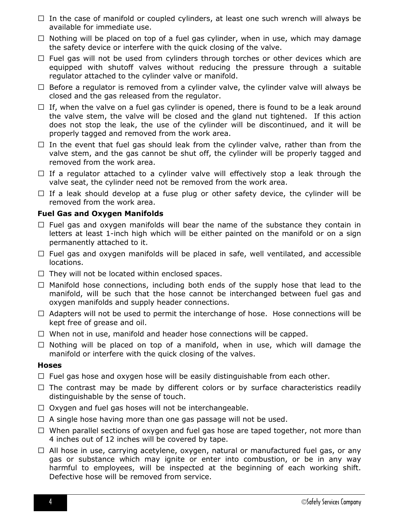- $\Box$  In the case of manifold or coupled cylinders, at least one such wrench will always be available for immediate use.
- $\Box$  Nothing will be placed on top of a fuel gas cylinder, when in use, which may damage the safety device or interfere with the quick closing of the valve.
- $\Box$  Fuel gas will not be used from cylinders through torches or other devices which are equipped with shutoff valves without reducing the pressure through a suitable regulator attached to the cylinder valve or manifold.
- $\Box$  Before a regulator is removed from a cylinder valve, the cylinder valve will always be closed and the gas released from the regulator.
- $\Box$  If, when the valve on a fuel gas cylinder is opened, there is found to be a leak around the valve stem, the valve will be closed and the gland nut tightened. If this action does not stop the leak, the use of the cylinder will be discontinued, and it will be properly tagged and removed from the work area.
- $\Box$  In the event that fuel gas should leak from the cylinder valve, rather than from the valve stem, and the gas cannot be shut off, the cylinder will be properly tagged and removed from the work area.
- $\Box$  If a regulator attached to a cylinder valve will effectively stop a leak through the valve seat, the cylinder need not be removed from the work area.
- $\Box$  If a leak should develop at a fuse plug or other safety device, the cylinder will be removed from the work area.

#### **Fuel Gas and Oxygen Manifolds**

- $\Box$  Fuel gas and oxygen manifolds will bear the name of the substance they contain in letters at least 1-inch high which will be either painted on the manifold or on a sign permanently attached to it.
- $\Box$  Fuel gas and oxygen manifolds will be placed in safe, well ventilated, and accessible locations.
- $\Box$  They will not be located within enclosed spaces.
- $\Box$  Manifold hose connections, including both ends of the supply hose that lead to the manifold, will be such that the hose cannot be interchanged between fuel gas and oxygen manifolds and supply header connections.
- $\Box$  Adapters will not be used to permit the interchange of hose. Hose connections will be kept free of grease and oil.
- $\Box$  When not in use, manifold and header hose connections will be capped.
- $\Box$  Nothing will be placed on top of a manifold, when in use, which will damage the manifold or interfere with the quick closing of the valves.

#### **Hoses**

- $\Box$  Fuel gas hose and oxygen hose will be easily distinguishable from each other.
- $\Box$  The contrast may be made by different colors or by surface characteristics readily distinguishable by the sense of touch.
- $\Box$  Oxygen and fuel gas hoses will not be interchangeable.
- $\Box$  A single hose having more than one gas passage will not be used.
- $\Box$  When parallel sections of oxygen and fuel gas hose are taped together, not more than 4 inches out of 12 inches will be covered by tape.
- $\Box$  All hose in use, carrying acetylene, oxygen, natural or manufactured fuel gas, or any gas or substance which may ignite or enter into combustion, or be in any way harmful to employees, will be inspected at the beginning of each working shift. Defective hose will be removed from service.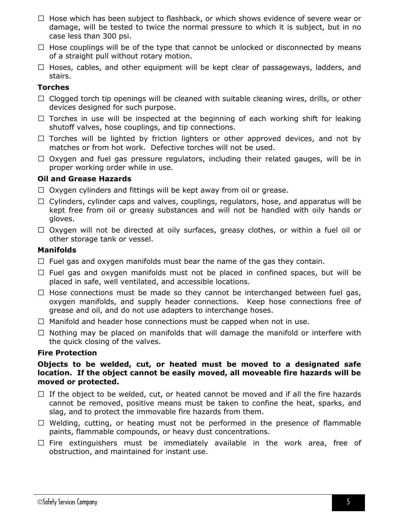- $\Box$  Hose which has been subject to flashback, or which shows evidence of severe wear or damage, will be tested to twice the normal pressure to which it is subject, but in no case less than 300 psi.
- $\Box$  Hose couplings will be of the type that cannot be unlocked or disconnected by means of a straight pull without rotary motion.
- $\Box$  Hoses, cables, and other equipment will be kept clear of passageways, ladders, and stairs.

#### **Torches**

- $\Box$  Clogged torch tip openings will be cleaned with suitable cleaning wires, drills, or other devices designed for such purpose.
- $\Box$  Torches in use will be inspected at the beginning of each working shift for leaking shutoff valves, hose couplings, and tip connections.
- $\Box$  Torches will be lighted by friction lighters or other approved devices, and not by matches or from hot work. Defective torches will not be used.
- $\Box$  Oxygen and fuel gas pressure regulators, including their related gauges, will be in proper working order while in use.

#### **Oil and Grease Hazards**

- $\Box$  Oxygen cylinders and fittings will be kept away from oil or grease.
- $\Box$  Cylinders, cylinder caps and valves, couplings, regulators, hose, and apparatus will be kept free from oil or greasy substances and will not be handled with oily hands or gloves.
- $\Box$  Oxygen will not be directed at oily surfaces, greasy clothes, or within a fuel oil or other storage tank or vessel.

#### **Manifolds**

- $\Box$  Fuel gas and oxygen manifolds must bear the name of the gas they contain.
- $\Box$  Fuel gas and oxygen manifolds must not be placed in confined spaces, but will be placed in safe, well ventilated, and accessible locations.
- $\Box$  Hose connections must be made so they cannot be interchanged between fuel gas, oxygen manifolds, and supply header connections. Keep hose connections free of grease and oil, and do not use adapters to interchange hoses.
- $\Box$  Manifold and header hose connections must be capped when not in use.
- $\Box$  Nothing may be placed on manifolds that will damage the manifold or interfere with the quick closing of the valves.

#### **Fire Protection**

#### **Objects to be welded, cut, or heated must be moved to a designated safe location. If the object cannot be easily moved, all moveable fire hazards will be moved or protected.**

- $\Box$  If the object to be welded, cut, or heated cannot be moved and if all the fire hazards cannot be removed, positive means must be taken to confine the heat, sparks, and slag, and to protect the immovable fire hazards from them.
- $\Box$  Welding, cutting, or heating must not be performed in the presence of flammable paints, flammable compounds, or heavy dust concentrations.
- $\Box$  Fire extinguishers must be immediately available in the work area, free of obstruction, and maintained for instant use.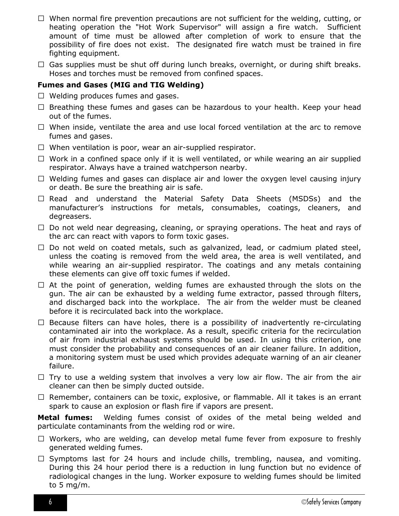- $\Box$  When normal fire prevention precautions are not sufficient for the welding, cutting, or heating operation the "Hot Work Supervisor" will assign a fire watch. Sufficient amount of time must be allowed after completion of work to ensure that the possibility of fire does not exist. The designated fire watch must be trained in fire fighting equipment.
- $\Box$  Gas supplies must be shut off during lunch breaks, overnight, or during shift breaks. Hoses and torches must be removed from confined spaces.

#### **Fumes and Gases (MIG and TIG Welding)**

- $\Box$  Welding produces fumes and gases.
- $\Box$  Breathing these fumes and gases can be hazardous to your health. Keep your head out of the fumes.
- $\Box$  When inside, ventilate the area and use local forced ventilation at the arc to remove fumes and gases.
- $\Box$  When ventilation is poor, wear an air-supplied respirator.
- $\Box$  Work in a confined space only if it is well ventilated, or while wearing an air supplied respirator. Always have a trained watchperson nearby.
- $\Box$  Welding fumes and gases can displace air and lower the oxygen level causing injury or death. Be sure the breathing air is safe.
- $\Box$  Read and understand the Material Safety Data Sheets (MSDSs) and the manufacturer's instructions for metals, consumables, coatings, cleaners, and degreasers.
- $\Box$  Do not weld near degreasing, cleaning, or spraying operations. The heat and rays of the arc can react with vapors to form toxic gases.
- $\Box$  Do not weld on coated metals, such as galvanized, lead, or cadmium plated steel, unless the coating is removed from the weld area, the area is well ventilated, and while wearing an air-supplied respirator. The coatings and any metals containing these elements can give off toxic fumes if welded.
- $\Box$  At the point of generation, welding fumes are exhausted through the slots on the gun. The air can be exhausted by a welding fume extractor, passed through filters, and discharged back into the workplace. The air from the welder must be cleaned before it is recirculated back into the workplace.
- $\Box$  Because filters can have holes, there is a possibility of inadvertently re-circulating contaminated air into the workplace. As a result, specific criteria for the recirculation of air from industrial exhaust systems should be used. In using this criterion, one must consider the probability and consequences of an air cleaner failure. In addition, a monitoring system must be used which provides adequate warning of an air cleaner failure.
- $\Box$  Try to use a welding system that involves a very low air flow. The air from the air cleaner can then be simply ducted outside.
- $\Box$  Remember, containers can be toxic, explosive, or flammable. All it takes is an errant spark to cause an explosion or flash fire if vapors are present.

**Metal fumes:** Welding fumes consist of oxides of the metal being welded and particulate contaminants from the welding rod or wire.

- $\Box$  Workers, who are welding, can develop metal fume fever from exposure to freshly generated welding fumes.
- $\Box$  Symptoms last for 24 hours and include chills, trembling, nausea, and vomiting. During this 24 hour period there is a reduction in lung function but no evidence of radiological changes in the lung. Worker exposure to welding fumes should be limited to 5 mg/m.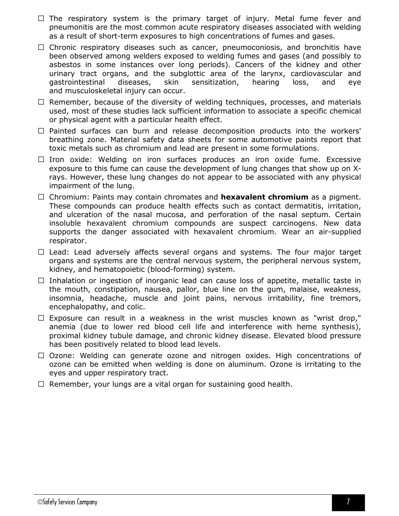- $\Box$  The respiratory system is the primary target of injury. Metal fume fever and pneumonitis are the most common acute respiratory diseases associated with welding as a result of short-term exposures to high concentrations of fumes and gases.
- $\Box$  Chronic respiratory diseases such as cancer, pneumoconiosis, and bronchitis have been observed among welders exposed to welding fumes and gases (and possibly to asbestos in some instances over long periods). Cancers of the kidney and other urinary tract organs, and the subglottic area of the larynx, cardiovascular and gastrointestinal diseases, skin sensitization, hearing loss, and eye and musculoskeletal injury can occur.
- $\Box$  Remember, because of the diversity of welding techniques, processes, and materials used, most of these studies lack sufficient information to associate a specific chemical or physical agent with a particular health effect.
- $\Box$  Painted surfaces can burn and release decomposition products into the workers' breathing zone. Material safety data sheets for some automotive paints report that toxic metals such as chromium and lead are present in some formulations.
- $\Box$  Iron oxide: Welding on iron surfaces produces an iron oxide fume. Excessive exposure to this fume can cause the development of lung changes that show up on Xrays. However, these lung changes do not appear to be associated with any physical impairment of the lung.
- Chromium: Paints may contain chromates and **hexavalent chromium** as a pigment. These compounds can produce health effects such as contact dermatitis, irritation, and ulceration of the nasal mucosa, and perforation of the nasal septum. Certain insoluble hexavalent chromium compounds are suspect carcinogens. New data supports the danger associated with hexavalent chromium. Wear an air-supplied respirator.
- $\Box$  Lead: Lead adversely affects several organs and systems. The four major target organs and systems are the central nervous system, the peripheral nervous system, kidney, and hematopoietic (blood-forming) system.
- $\Box$  Inhalation or ingestion of inorganic lead can cause loss of appetite, metallic taste in the mouth, constipation, nausea, pallor, blue line on the gum, malaise, weakness, insomnia, headache, muscle and joint pains, nervous irritability, fine tremors, encephalopathy, and colic.
- $\Box$  Exposure can result in a weakness in the wrist muscles known as "wrist drop," anemia (due to lower red blood cell life and interference with heme synthesis), proximal kidney tubule damage, and chronic kidney disease. Elevated blood pressure has been positively related to blood lead levels.
- $\Box$  Ozone: Welding can generate ozone and nitrogen oxides. High concentrations of ozone can be emitted when welding is done on aluminum. Ozone is irritating to the eyes and upper respiratory tract.
- $\Box$  Remember, your lungs are a vital organ for sustaining good health.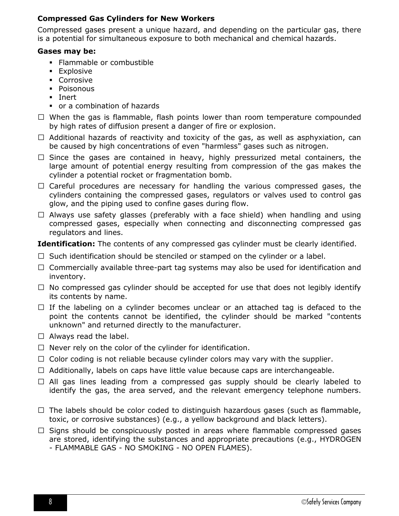#### **Compressed Gas Cylinders for New Workers**

Compressed gases present a unique hazard, and depending on the particular gas, there is a potential for simultaneous exposure to both mechanical and chemical hazards.

#### **Gases may be:**

- Flammable or combustible
- **Explosive**
- **Corrosive**
- **•** Poisonous
- **Inert**
- or a combination of hazards
- $\Box$  When the gas is flammable, flash points lower than room temperature compounded by high rates of diffusion present a danger of fire or explosion.
- $\Box$  Additional hazards of reactivity and toxicity of the gas, as well as asphyxiation, can be caused by high concentrations of even "harmless" gases such as nitrogen.
- $\Box$  Since the gases are contained in heavy, highly pressurized metal containers, the large amount of potential energy resulting from compression of the gas makes the cylinder a potential rocket or fragmentation bomb.
- $\Box$  Careful procedures are necessary for handling the various compressed gases, the cylinders containing the compressed gases, regulators or valves used to control gas glow, and the piping used to confine gases during flow.
- $\Box$  Always use safety glasses (preferably with a face shield) when handling and using compressed gases, especially when connecting and disconnecting compressed gas regulators and lines.

**Identification:** The contents of any compressed gas cylinder must be clearly identified.

- $\Box$  Such identification should be stenciled or stamped on the cylinder or a label.
- $\Box$  Commercially available three-part tag systems may also be used for identification and inventory.
- $\Box$  No compressed gas cylinder should be accepted for use that does not legibly identify its contents by name.
- $\Box$  If the labeling on a cylinder becomes unclear or an attached tag is defaced to the point the contents cannot be identified, the cylinder should be marked "contents unknown" and returned directly to the manufacturer.
- $\Box$  Always read the label.
- $\Box$  Never rely on the color of the cylinder for identification.
- $\Box$  Color coding is not reliable because cylinder colors may vary with the supplier.
- $\Box$  Additionally, labels on caps have little value because caps are interchangeable.
- $\Box$  All gas lines leading from a compressed gas supply should be clearly labeled to identify the gas, the area served, and the relevant emergency telephone numbers.
- $\Box$  The labels should be color coded to distinguish hazardous gases (such as flammable, toxic, or corrosive substances) (e.g., a yellow background and black letters).
- $\Box$  Signs should be conspicuously posted in areas where flammable compressed gases are stored, identifying the substances and appropriate precautions (e.g., HYDROGEN - FLAMMABLE GAS - NO SMOKING - NO OPEN FLAMES).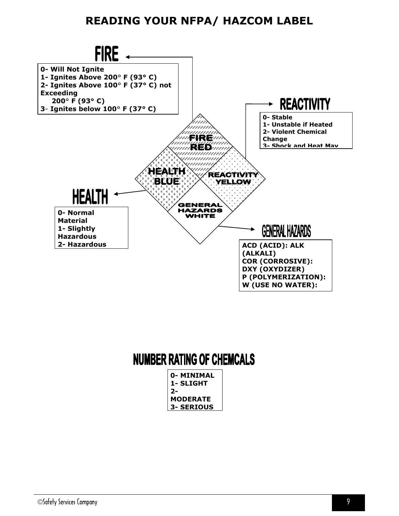# **READING YOUR NFPA/ HAZCOM LABEL**



# **NUMBER RATING OF CHEMCALS**

| 0- MINIMAL      |
|-----------------|
| 1- SLIGHT       |
| 2-              |
| <b>MODERATE</b> |
| 3- SERIOUS      |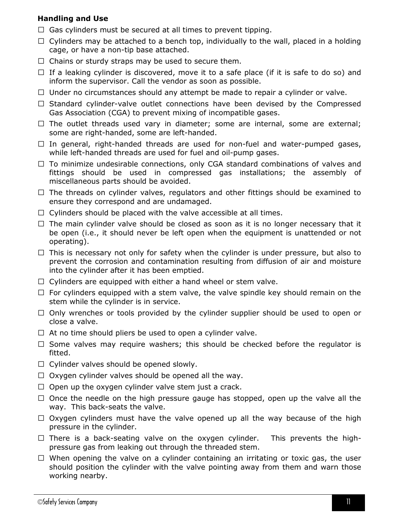#### **Handling and Use**

- $\Box$  Gas cylinders must be secured at all times to prevent tipping.
- $\Box$  Cylinders may be attached to a bench top, individually to the wall, placed in a holding cage, or have a non-tip base attached.
- $\Box$  Chains or sturdy straps may be used to secure them.
- $\Box$  If a leaking cylinder is discovered, move it to a safe place (if it is safe to do so) and inform the supervisor. Call the vendor as soon as possible.
- $\Box$  Under no circumstances should any attempt be made to repair a cylinder or valve.
- $\Box$  Standard cylinder-valve outlet connections have been devised by the Compressed Gas Association (CGA) to prevent mixing of incompatible gases.
- $\Box$  The outlet threads used vary in diameter; some are internal, some are external; some are right-handed, some are left-handed.
- $\Box$  In general, right-handed threads are used for non-fuel and water-pumped gases, while left-handed threads are used for fuel and oil-pump gases.
- $\Box$  To minimize undesirable connections, only CGA standard combinations of valves and fittings should be used in compressed gas installations; the assembly of miscellaneous parts should be avoided.
- $\Box$  The threads on cylinder valves, regulators and other fittings should be examined to ensure they correspond and are undamaged.
- $\Box$  Cylinders should be placed with the valve accessible at all times.
- $\Box$  The main cylinder valve should be closed as soon as it is no longer necessary that it be open (i.e., it should never be left open when the equipment is unattended or not operating).
- $\Box$  This is necessary not only for safety when the cylinder is under pressure, but also to prevent the corrosion and contamination resulting from diffusion of air and moisture into the cylinder after it has been emptied.
- $\Box$  Cylinders are equipped with either a hand wheel or stem valve.
- $\Box$  For cylinders equipped with a stem valve, the valve spindle key should remain on the stem while the cylinder is in service.
- $\Box$  Only wrenches or tools provided by the cylinder supplier should be used to open or close a valve.
- $\Box$  At no time should pliers be used to open a cylinder valve.
- $\Box$  Some valves may require washers; this should be checked before the regulator is fitted.
- $\Box$  Cylinder valves should be opened slowly.
- $\Box$  Oxygen cylinder valves should be opened all the way.
- $\Box$  Open up the oxygen cylinder valve stem just a crack.
- $\Box$  Once the needle on the high pressure gauge has stopped, open up the valve all the way. This back-seats the valve.
- $\Box$  Oxygen cylinders must have the valve opened up all the way because of the high pressure in the cylinder.
- $\Box$  There is a back-seating valve on the oxygen cylinder. This prevents the highpressure gas from leaking out through the threaded stem.
- $\Box$  When opening the valve on a cylinder containing an irritating or toxic gas, the user should position the cylinder with the valve pointing away from them and warn those working nearby.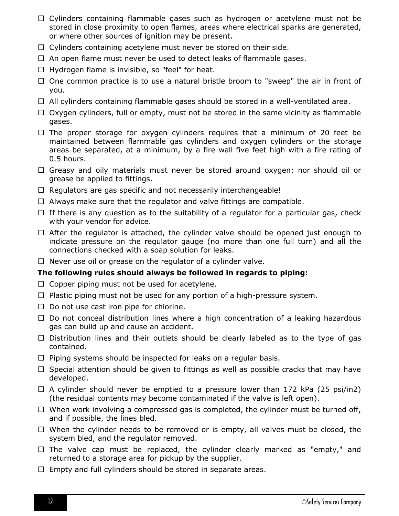- $\Box$  Cylinders containing flammable gases such as hydrogen or acetylene must not be stored in close proximity to open flames, areas where electrical sparks are generated, or where other sources of ignition may be present.
- $\Box$  Cylinders containing acetylene must never be stored on their side.
- $\Box$  An open flame must never be used to detect leaks of flammable gases.
- $\Box$  Hydrogen flame is invisible, so "feel" for heat.
- $\Box$  One common practice is to use a natural bristle broom to "sweep" the air in front of you.
- $\Box$  All cylinders containing flammable gases should be stored in a well-ventilated area.
- $\Box$  Oxygen cylinders, full or empty, must not be stored in the same vicinity as flammable gases.
- $\Box$  The proper storage for oxygen cylinders requires that a minimum of 20 feet be maintained between flammable gas cylinders and oxygen cylinders or the storage areas be separated, at a minimum, by a fire wall five feet high with a fire rating of 0.5 hours.
- $\Box$  Greasy and oily materials must never be stored around oxygen; nor should oil or grease be applied to fittings.
- $\Box$  Regulators are gas specific and not necessarily interchangeable!
- $\Box$  Always make sure that the regulator and valve fittings are compatible.
- $\Box$  If there is any question as to the suitability of a regulator for a particular gas, check with your vendor for advice.
- $\Box$  After the regulator is attached, the cylinder valve should be opened just enough to indicate pressure on the regulator gauge (no more than one full turn) and all the connections checked with a soap solution for leaks.
- $\Box$  Never use oil or grease on the regulator of a cylinder valve.

#### **The following rules should always be followed in regards to piping:**

- $\Box$  Copper piping must not be used for acetylene.
- $\Box$  Plastic piping must not be used for any portion of a high-pressure system.
- $\Box$  Do not use cast iron pipe for chlorine.
- $\Box$  Do not conceal distribution lines where a high concentration of a leaking hazardous gas can build up and cause an accident.
- $\Box$  Distribution lines and their outlets should be clearly labeled as to the type of gas contained.
- $\Box$  Piping systems should be inspected for leaks on a regular basis.
- $\Box$  Special attention should be given to fittings as well as possible cracks that may have developed.
- $\Box$  A cylinder should never be emptied to a pressure lower than 172 kPa (25 psi/in2) (the residual contents may become contaminated if the valve is left open).
- $\Box$  When work involving a compressed gas is completed, the cylinder must be turned off, and if possible, the lines bled.
- $\Box$  When the cylinder needs to be removed or is empty, all valves must be closed, the system bled, and the regulator removed.
- $\Box$  The valve cap must be replaced, the cylinder clearly marked as "empty," and returned to a storage area for pickup by the supplier.
- $\Box$  Empty and full cylinders should be stored in separate areas.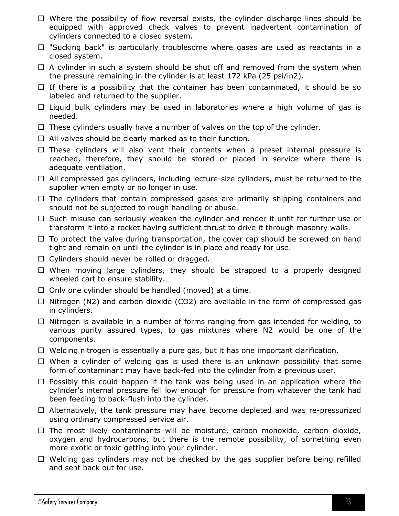- $\Box$  Where the possibility of flow reversal exists, the cylinder discharge lines should be equipped with approved check valves to prevent inadvertent contamination of cylinders connected to a closed system.
- $\Box$  "Sucking back" is particularly troublesome where gases are used as reactants in a closed system.
- $\Box$  A cylinder in such a system should be shut off and removed from the system when the pressure remaining in the cylinder is at least 172 kPa (25 psi/in2).
- $\Box$  If there is a possibility that the container has been contaminated, it should be so labeled and returned to the supplier.
- $\Box$  Liquid bulk cylinders may be used in laboratories where a high volume of gas is needed.
- $\Box$  These cylinders usually have a number of valves on the top of the cylinder.
- $\Box$  All valves should be clearly marked as to their function.
- $\Box$  These cylinders will also vent their contents when a preset internal pressure is reached, therefore, they should be stored or placed in service where there is adequate ventilation.
- $\Box$  All compressed gas cylinders, including lecture-size cylinders, must be returned to the supplier when empty or no longer in use.
- $\Box$  The cylinders that contain compressed gases are primarily shipping containers and should not be subjected to rough handling or abuse.
- $\Box$  Such misuse can seriously weaken the cylinder and render it unfit for further use or transform it into a rocket having sufficient thrust to drive it through masonry walls.
- $\Box$  To protect the valve during transportation, the cover cap should be screwed on hand tight and remain on until the cylinder is in place and ready for use.
- $\Box$  Cylinders should never be rolled or dragged.
- $\Box$  When moving large cylinders, they should be strapped to a properly designed wheeled cart to ensure stability.
- $\Box$  Only one cylinder should be handled (moved) at a time.
- $\Box$  Nitrogen (N2) and carbon dioxide (CO2) are available in the form of compressed gas in cylinders.
- $\Box$  Nitrogen is available in a number of forms ranging from gas intended for welding, to various purity assured types, to gas mixtures where N2 would be one of the components.
- $\Box$  Welding nitrogen is essentially a pure gas, but it has one important clarification.
- $\Box$  When a cylinder of welding gas is used there is an unknown possibility that some form of contaminant may have back-fed into the cylinder from a previous user.
- $\Box$  Possibly this could happen if the tank was being used in an application where the cylinder's internal pressure fell low enough for pressure from whatever the tank had been feeding to back-flush into the cylinder.
- $\Box$  Alternatively, the tank pressure may have become depleted and was re-pressurized using ordinary compressed service air.
- $\Box$  The most likely contaminants will be moisture, carbon monoxide, carbon dioxide, oxygen and hydrocarbons, but there is the remote possibility, of something even more exotic or toxic getting into your cylinder.
- $\Box$  Welding gas cylinders may not be checked by the gas supplier before being refilled and sent back out for use.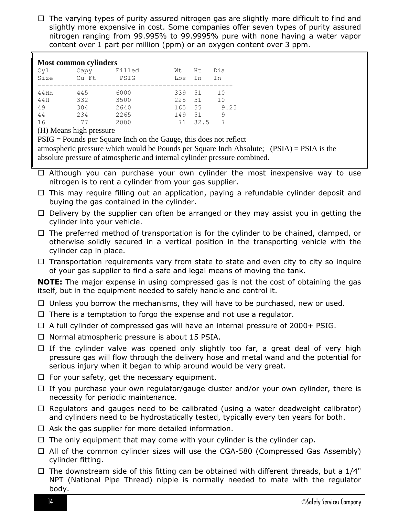$\Box$  The varying types of purity assured nitrogen gas are slightly more difficult to find and slightly more expensive in cost. Some companies offer seven types of purity assured nitrogen ranging from 99.995% to 99.9995% pure with none having a water vapor content over 1 part per million (ppm) or an oxygen content over 3 ppm.

#### **Most common cylinders**

| Cyl<br>Size | Capy<br>Cu Ft | Filled<br>PSIG | Wt.<br>Lbs | Ht<br>Ιn | Dia<br>In |
|-------------|---------------|----------------|------------|----------|-----------|
| 44HH        | 445           | 6000           | 339 51     |          | 10        |
| 44H         | 332           | 3500           | 225        | 51       | 10        |
| 49          | 304           | 2640           | 165        | 55       | 9.25      |
| 44          | 234           | 2265           | 149        | 51       | 9         |
| 16          | 77            | 2000           | 71         | 32.5     | 7         |

#### (H) Means high pressure

PSIG = Pounds per Square Inch on the Gauge, this does not reflect

atmospheric pressure which would be Pounds per Square Inch Absolute; (PSIA) = PSIA is the absolute pressure of atmospheric and internal cylinder pressure combined.

- $\Box$  Although you can purchase your own cylinder the most inexpensive way to use nitrogen is to rent a cylinder from your gas supplier.
- $\Box$  This may require filling out an application, paying a refundable cylinder deposit and buying the gas contained in the cylinder.
- $\Box$  Delivery by the supplier can often be arranged or they may assist you in getting the cylinder into your vehicle.
- $\Box$  The preferred method of transportation is for the cylinder to be chained, clamped, or otherwise solidly secured in a vertical position in the transporting vehicle with the cylinder cap in place.
- $\Box$  Transportation requirements vary from state to state and even city to city so inquire of your gas supplier to find a safe and legal means of moving the tank.

**NOTE:** The major expense in using compressed gas is not the cost of obtaining the gas itself, but in the equipment needed to safely handle and control it.

- $\Box$  Unless you borrow the mechanisms, they will have to be purchased, new or used.
- $\Box$  There is a temptation to forgo the expense and not use a regulator.
- $\Box$  A full cylinder of compressed gas will have an internal pressure of 2000+ PSIG.
- $\Box$  Normal atmospheric pressure is about 15 PSIA.
- $\Box$  If the cylinder valve was opened only slightly too far, a great deal of very high pressure gas will flow through the delivery hose and metal wand and the potential for serious injury when it began to whip around would be very great.
- $\Box$  For your safety, get the necessary equipment.
- $\Box$  If you purchase your own regulator/gauge cluster and/or your own cylinder, there is necessity for periodic maintenance.
- $\Box$  Regulators and gauges need to be calibrated (using a water deadweight calibrator) and cylinders need to be hydrostatically tested, typically every ten years for both.
- $\Box$  Ask the gas supplier for more detailed information.
- $\Box$  The only equipment that may come with your cylinder is the cylinder cap.
- $\Box$  All of the common cylinder sizes will use the CGA-580 (Compressed Gas Assembly) cylinder fitting.
- $\Box$  The downstream side of this fitting can be obtained with different threads, but a 1/4" NPT (National Pipe Thread) nipple is normally needed to mate with the regulator body.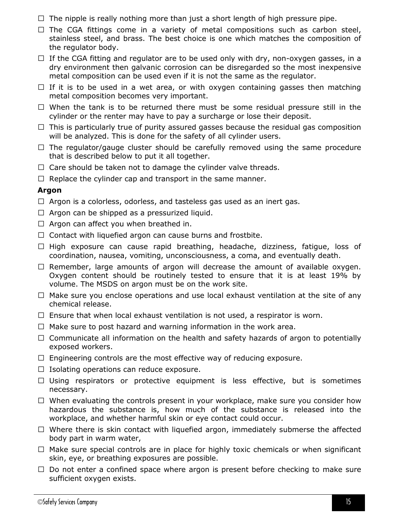- $\Box$  The nipple is really nothing more than just a short length of high pressure pipe.
- $\Box$  The CGA fittings come in a variety of metal compositions such as carbon steel, stainless steel, and brass. The best choice is one which matches the composition of the regulator body.
- $\Box$  If the CGA fitting and regulator are to be used only with dry, non-oxygen gasses, in a dry environment then galvanic corrosion can be disregarded so the most inexpensive metal composition can be used even if it is not the same as the regulator.
- $\Box$  If it is to be used in a wet area, or with oxygen containing gasses then matching metal composition becomes very important.
- $\Box$  When the tank is to be returned there must be some residual pressure still in the cylinder or the renter may have to pay a surcharge or lose their deposit.
- $\Box$  This is particularly true of purity assured gasses because the residual gas composition will be analyzed. This is done for the safety of all cylinder users.
- $\Box$  The regulator/gauge cluster should be carefully removed using the same procedure that is described below to put it all together.
- $\Box$  Care should be taken not to damage the cylinder valve threads.
- $\Box$  Replace the cylinder cap and transport in the same manner.

#### **Argon**

- $\Box$  Argon is a colorless, odorless, and tasteless gas used as an inert gas.
- $\Box$  Argon can be shipped as a pressurized liquid.
- $\Box$  Argon can affect you when breathed in.
- $\Box$  Contact with liquefied argon can cause burns and frostbite.
- $\Box$  High exposure can cause rapid breathing, headache, dizziness, fatigue, loss of coordination, nausea, vomiting, unconsciousness, a coma, and eventually death.
- $\Box$  Remember, large amounts of argon will decrease the amount of available oxygen. Oxygen content should be routinely tested to ensure that it is at least 19% by volume. The MSDS on argon must be on the work site.
- $\Box$  Make sure you enclose operations and use local exhaust ventilation at the site of any chemical release.
- $\Box$  Ensure that when local exhaust ventilation is not used, a respirator is worn.
- $\Box$  Make sure to post hazard and warning information in the work area.
- $\Box$  Communicate all information on the health and safety hazards of argon to potentially exposed workers.
- $\Box$  Engineering controls are the most effective way of reducing exposure.
- $\Box$  Isolating operations can reduce exposure.
- $\Box$  Using respirators or protective equipment is less effective, but is sometimes necessary.
- $\Box$  When evaluating the controls present in your workplace, make sure you consider how hazardous the substance is, how much of the substance is released into the workplace, and whether harmful skin or eye contact could occur.
- $\Box$  Where there is skin contact with liquefied argon, immediately submerse the affected body part in warm water,
- $\Box$  Make sure special controls are in place for highly toxic chemicals or when significant skin, eye, or breathing exposures are possible.
- $\Box$  Do not enter a confined space where argon is present before checking to make sure sufficient oxygen exists.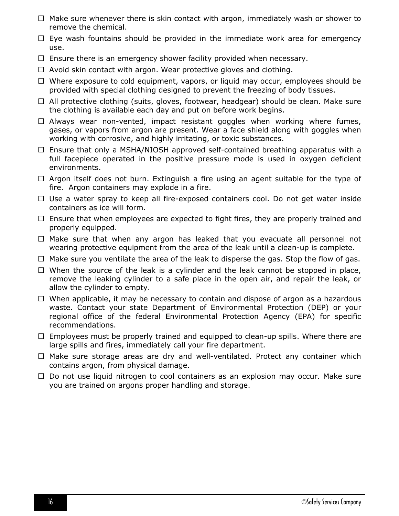- $\Box$  Make sure whenever there is skin contact with argon, immediately wash or shower to remove the chemical.
- $\Box$  Eye wash fountains should be provided in the immediate work area for emergency use.
- $\Box$  Ensure there is an emergency shower facility provided when necessary.
- $\Box$  Avoid skin contact with argon. Wear protective gloves and clothing.
- $\Box$  Where exposure to cold equipment, vapors, or liquid may occur, employees should be provided with special clothing designed to prevent the freezing of body tissues.
- $\Box$  All protective clothing (suits, gloves, footwear, headgear) should be clean. Make sure the clothing is available each day and put on before work begins.
- $\Box$  Always wear non-vented, impact resistant goggles when working where fumes, gases, or vapors from argon are present. Wear a face shield along with goggles when working with corrosive, and highly irritating, or toxic substances.
- $\Box$  Ensure that only a MSHA/NIOSH approved self-contained breathing apparatus with a full facepiece operated in the positive pressure mode is used in oxygen deficient environments.
- $\Box$  Argon itself does not burn. Extinguish a fire using an agent suitable for the type of fire. Argon containers may explode in a fire.
- $\Box$  Use a water spray to keep all fire-exposed containers cool. Do not get water inside containers as ice will form.
- $\Box$  Ensure that when employees are expected to fight fires, they are properly trained and properly equipped.
- $\Box$  Make sure that when any argon has leaked that you evacuate all personnel not wearing protective equipment from the area of the leak until a clean-up is complete.
- $\Box$  Make sure you ventilate the area of the leak to disperse the gas. Stop the flow of gas.
- $\Box$  When the source of the leak is a cylinder and the leak cannot be stopped in place, remove the leaking cylinder to a safe place in the open air, and repair the leak, or allow the cylinder to empty.
- $\Box$  When applicable, it may be necessary to contain and dispose of argon as a hazardous waste. Contact your state Department of Environmental Protection (DEP) or your regional office of the federal Environmental Protection Agency (EPA) for specific recommendations.
- $\Box$  Employees must be properly trained and equipped to clean-up spills. Where there are large spills and fires, immediately call your fire department.
- $\Box$  Make sure storage areas are dry and well-ventilated. Protect any container which contains argon, from physical damage.
- $\Box$  Do not use liquid nitrogen to cool containers as an explosion may occur. Make sure you are trained on argons proper handling and storage.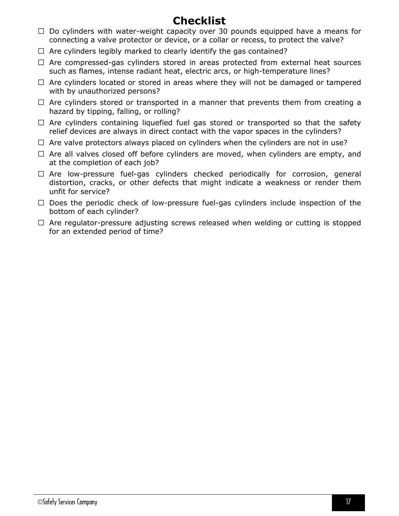# **Checklist**

- $\Box$  Do cylinders with water-weight capacity over 30 pounds equipped have a means for connecting a valve protector or device, or a collar or recess, to protect the valve?
- $\Box$  Are cylinders legibly marked to clearly identify the gas contained?
- $\Box$  Are compressed-gas cylinders stored in areas protected from external heat sources such as flames, intense radiant heat, electric arcs, or high-temperature lines?
- $\Box$  Are cylinders located or stored in areas where they will not be damaged or tampered with by unauthorized persons?
- $\Box$  Are cylinders stored or transported in a manner that prevents them from creating a hazard by tipping, falling, or rolling?
- $\Box$  Are cylinders containing liquefied fuel gas stored or transported so that the safety relief devices are always in direct contact with the vapor spaces in the cylinders?
- $\Box$  Are valve protectors always placed on cylinders when the cylinders are not in use?
- $\Box$  Are all valves closed off before cylinders are moved, when cylinders are empty, and at the completion of each job?
- $\Box$  Are low-pressure fuel-gas cylinders checked periodically for corrosion, general distortion, cracks, or other defects that might indicate a weakness or render them unfit for service?
- $\Box$  Does the periodic check of low-pressure fuel-gas cylinders include inspection of the bottom of each cylinder?
- $\Box$  Are regulator-pressure adjusting screws released when welding or cutting is stopped for an extended period of time?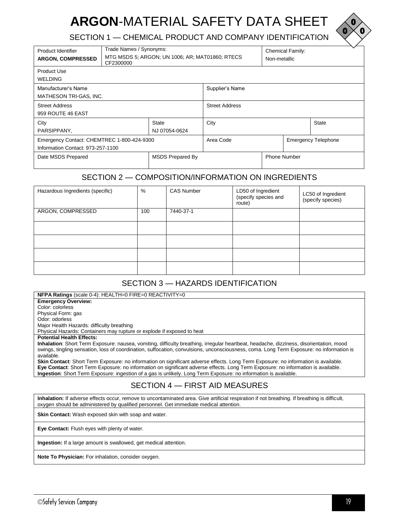# **ARGON**-MATERIAL SAFETY DATA SHEET



# SECTION 1 — CHEMICAL PRODUCT AND COMPANY IDENTIFICATION

| Product Identifier                                                                       | Trade Names / Synonyms: |                         |                 | <b>Chemical Family:</b> |                            |              |  |
|------------------------------------------------------------------------------------------|-------------------------|-------------------------|-----------------|-------------------------|----------------------------|--------------|--|
| MTG MSDS 5; ARGON; UN 1006; AR; MAT01860; RTECS<br><b>ARGON, COMPRESSED</b><br>CF2300000 |                         |                         |                 | Non-metallic            |                            |              |  |
| <b>Product Use</b>                                                                       |                         |                         |                 |                         |                            |              |  |
| <b>WELDING</b>                                                                           |                         |                         |                 |                         |                            |              |  |
| Manufacturer's Name                                                                      |                         |                         | Supplier's Name |                         |                            |              |  |
| MATHESON TRI-GAS, INC.                                                                   |                         |                         |                 |                         |                            |              |  |
| <b>Street Address</b>                                                                    |                         | <b>Street Address</b>   |                 |                         |                            |              |  |
| 959 ROUTE 46 EAST                                                                        |                         |                         |                 |                         |                            |              |  |
| City                                                                                     |                         | <b>State</b>            | City            |                         |                            | <b>State</b> |  |
| PARSIPPANY,                                                                              |                         | NJ 07054-0624           |                 |                         |                            |              |  |
| Emergency Contact: CHEMTREC 1-800-424-9300                                               |                         | Area Code               |                 |                         | <b>Emergency Telephone</b> |              |  |
| Information Contact: 973-257-1100                                                        |                         |                         |                 |                         |                            |              |  |
| Date MSDS Prepared                                                                       |                         | <b>MSDS Prepared By</b> |                 | <b>Phone Number</b>     |                            |              |  |
|                                                                                          |                         |                         |                 |                         |                            |              |  |

#### SECTION 2 — COMPOSITION/INFORMATION ON INGREDIENTS

| Hazardous Ingredients (specific) | $\%$ | <b>CAS Number</b> | LD50 of Ingredient<br>(specify species and<br>route) | LC50 of Ingredient<br>(specify species) |
|----------------------------------|------|-------------------|------------------------------------------------------|-----------------------------------------|
| ARGON, COMPRESSED                | 100  | 7440-37-1         |                                                      |                                         |
|                                  |      |                   |                                                      |                                         |
|                                  |      |                   |                                                      |                                         |
|                                  |      |                   |                                                      |                                         |
|                                  |      |                   |                                                      |                                         |

### SECTION 3 — HAZARDS IDENTIFICATION

| NFPA Ratings (scale 0-4): HEALTH=0 FIRE=0 REACTIVITY=0                                                                                   |
|------------------------------------------------------------------------------------------------------------------------------------------|
| <b>Emergency Overview:</b>                                                                                                               |
| Color: colorless                                                                                                                         |
| Physical Form: gas                                                                                                                       |
| Odor: odorless                                                                                                                           |
| Major Health Hazards: difficulty breathing                                                                                               |
| Physical Hazards: Containers may rupture or explode if exposed to heat                                                                   |
| <b>Potential Health Effects:</b>                                                                                                         |
| Inhalation: Short Term Exposure: nausea, vomiting, difficulty breathing, irregular heartbeat, headache, dizziness, disorientation, mood  |
| swings, tingling sensation, loss of coordination, suffocation, convulsions, unconsciousness, coma. Long Term Exposure: no information is |
| available.                                                                                                                               |
| Skin Contact: Short Term Exposure: no information on significant adverse effects. Long Term Exposure: no information is available.       |
| Eye Contact: Short Term Exposure: no information on significant adverse effects. Long Term Exposure: no information is available.        |
| Ingestion: Short Term Exposure: ingestion of a gas is unlikely. Long Term Exposure: no information is available.                         |
| SECTION 4 - FIRST AID MEASURES                                                                                                           |

**Inhalation:** If adverse effects occur, remove to uncontaminated area. Give artificial respiration if not breathing. If breathing is difficult, oxygen should be administered by qualified personnel. Get immediate medical attention.

**Skin Contact:** Wash exposed skin with soap and water.

**Eye Contact:** Flush eyes with plenty of water.

**Ingestion:** If a large amount is swallowed, get medical attention.

**Note To Physician:** For inhalation, consider oxygen.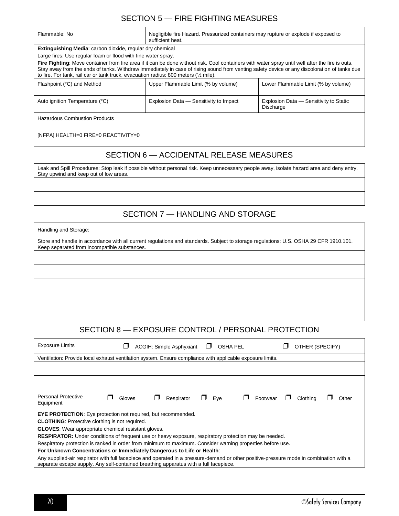## SECTION 5 — FIRE FIGHTING MEASURES

| Flammable: No                                                                                                                                                                                                                                                                                                                                                                                      | Negligible fire Hazard. Pressurized containers may rupture or explode if exposed to<br>sufficient heat. |                                                     |  |  |  |
|----------------------------------------------------------------------------------------------------------------------------------------------------------------------------------------------------------------------------------------------------------------------------------------------------------------------------------------------------------------------------------------------------|---------------------------------------------------------------------------------------------------------|-----------------------------------------------------|--|--|--|
| Extinguishing Media: carbon dioxide, regular dry chemical                                                                                                                                                                                                                                                                                                                                          |                                                                                                         |                                                     |  |  |  |
| Large fires: Use regular foam or flood with fine water spray.                                                                                                                                                                                                                                                                                                                                      |                                                                                                         |                                                     |  |  |  |
| Fire Fighting: Move container from fire area if it can be done without risk. Cool containers with water spray until well after the fire is outs.<br>Stay away from the ends of tanks. Withdraw immediately in case of rising sound from venting safety device or any discoloration of tanks due<br>to fire. For tank, rail car or tank truck, evacuation radius: 800 meters $(\frac{1}{2})$ mile). |                                                                                                         |                                                     |  |  |  |
| Flashpoint (°C) and Method                                                                                                                                                                                                                                                                                                                                                                         | Upper Flammable Limit (% by volume)                                                                     | Lower Flammable Limit (% by volume)                 |  |  |  |
| Auto ignition Temperature (°C)                                                                                                                                                                                                                                                                                                                                                                     | Explosion Data – Sensitivity to Impact                                                                  | Explosion Data - Sensitivity to Static<br>Discharge |  |  |  |
| <b>Hazardous Combustion Products</b>                                                                                                                                                                                                                                                                                                                                                               |                                                                                                         |                                                     |  |  |  |
| [NFPA] HEALTH=0 FIRE=0 REACTIVITY=0                                                                                                                                                                                                                                                                                                                                                                |                                                                                                         |                                                     |  |  |  |

## SECTION 6 — ACCIDENTAL RELEASE MEASURES

Leak and Spill Procedures: Stop leak if possible without personal risk. Keep unnecessary people away, isolate hazard area and deny entry. Stay upwind and keep out of low areas.

## SECTION 7 — HANDLING AND STORAGE

| Handling and Storage:                                                                                                                                                                 |
|---------------------------------------------------------------------------------------------------------------------------------------------------------------------------------------|
| Store and handle in accordance with all current regulations and standards. Subject to storage regulations: U.S. OSHA 29 CFR 1910.101.<br>Keep separated from incompatible substances. |
|                                                                                                                                                                                       |
|                                                                                                                                                                                       |
|                                                                                                                                                                                       |
|                                                                                                                                                                                       |
|                                                                                                                                                                                       |

### SECTION 8 — EXPOSURE CONTROL / PERSONAL PROTECTION

| <b>Exposure Limits</b>                                                                                                                                                                                                           | <b>ACGIH: Simple Asphyxiant</b>                                                                           | <b>OSHA PEL</b> | OTHER (SPECIFY)   |  |  |
|----------------------------------------------------------------------------------------------------------------------------------------------------------------------------------------------------------------------------------|-----------------------------------------------------------------------------------------------------------|-----------------|-------------------|--|--|
|                                                                                                                                                                                                                                  | Ventilation: Provide local exhaust ventilation system. Ensure compliance with applicable exposure limits. |                 |                   |  |  |
|                                                                                                                                                                                                                                  |                                                                                                           |                 |                   |  |  |
|                                                                                                                                                                                                                                  |                                                                                                           |                 |                   |  |  |
| <b>Personal Protective</b><br>Equipment                                                                                                                                                                                          | Respirator<br>Gloves                                                                                      | Eve<br>Footwear | Clothing<br>Other |  |  |
| <b>EYE PROTECTION:</b> Eye protection not required, but recommended.                                                                                                                                                             |                                                                                                           |                 |                   |  |  |
| <b>CLOTHING:</b> Protective clothing is not required.                                                                                                                                                                            |                                                                                                           |                 |                   |  |  |
| <b>GLOVES:</b> Wear appropriate chemical resistant gloves.                                                                                                                                                                       |                                                                                                           |                 |                   |  |  |
| <b>RESPIRATOR:</b> Under conditions of frequent use or heavy exposure, respiratory protection may be needed.                                                                                                                     |                                                                                                           |                 |                   |  |  |
| Respiratory protection is ranked in order from minimum to maximum. Consider warning properties before use.                                                                                                                       |                                                                                                           |                 |                   |  |  |
| For Unknown Concentrations or Immediately Dangerous to Life or Health:                                                                                                                                                           |                                                                                                           |                 |                   |  |  |
| Any supplied-air respirator with full facepiece and operated in a pressure-demand or other positive-pressure mode in combination with a<br>separate escape supply. Any self-contained breathing apparatus with a full facepiece. |                                                                                                           |                 |                   |  |  |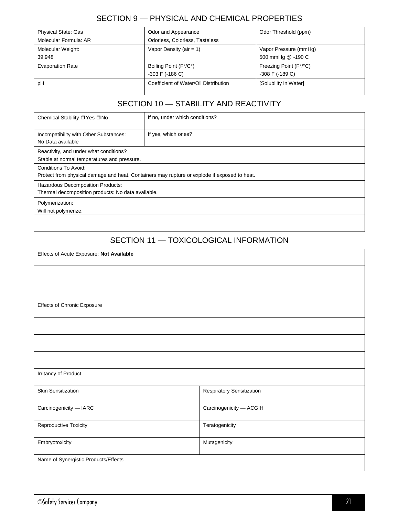## SECTION 9 — PHYSICAL AND CHEMICAL PROPERTIES

| <b>Physical State: Gas</b> | Odor and Appearance                   | Odor Threshold (ppm)   |
|----------------------------|---------------------------------------|------------------------|
| Molecular Formula: AR      | Odorless, Colorless, Tasteless        |                        |
| Molecular Weight:          | Vapor Density (air = $1$ )            | Vapor Pressure (mmHg)  |
| 39.948                     |                                       | 500 mmHg @ -190 C      |
| <b>Evaporation Rate</b>    | Boiling Point (F°/C°)                 | Freezing Point (F°/°C) |
|                            | $-303$ F ( $-186$ C)                  | $-308$ F ( $-189$ C)   |
| pH                         | Coefficient of Water/Oil Distribution | [Solubility in Water]  |
|                            |                                       |                        |

## SECTION 10 — STABILITY AND REACTIVITY

| Chemical Stability □ Yes □ No                                                                                        | If no, under which conditions? |  |  |  |
|----------------------------------------------------------------------------------------------------------------------|--------------------------------|--|--|--|
| Incompatibility with Other Substances:<br>No Data available                                                          | If yes, which ones?            |  |  |  |
| Reactivity, and under what conditions?<br>Stable at normal temperatures and pressure.                                |                                |  |  |  |
| Conditions To Avoid:<br>Protect from physical damage and heat. Containers may rupture or explode if exposed to heat. |                                |  |  |  |
| <b>Hazardous Decomposition Products:</b><br>Thermal decomposition products: No data available.                       |                                |  |  |  |
| Polymerization:<br>Will not polymerize.                                                                              |                                |  |  |  |
|                                                                                                                      |                                |  |  |  |

# SECTION 11 — TOXICOLOGICAL INFORMATION

| Effects of Acute Exposure: Not Available |                                  |
|------------------------------------------|----------------------------------|
|                                          |                                  |
|                                          |                                  |
| <b>Effects of Chronic Exposure</b>       |                                  |
|                                          |                                  |
|                                          |                                  |
|                                          |                                  |
| Irritancy of Product                     |                                  |
| <b>Skin Sensitization</b>                | <b>Respiratory Sensitization</b> |
| Carcinogenicity - IARC                   | Carcinogenicity - ACGIH          |
| Reproductive Toxicity                    | Teratogenicity                   |
| Embryotoxicity                           | Mutagenicity                     |
| Name of Synergistic Products/Effects     |                                  |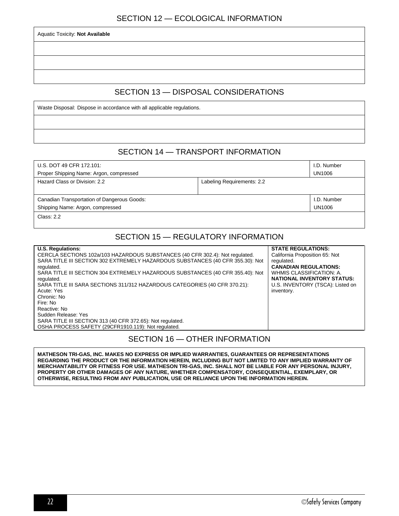#### SECTION 12 — ECOLOGICAL INFORMATION

Aquatic Toxicity: **Not Available**

#### SECTION 13 — DISPOSAL CONSIDERATIONS

Waste Disposal: Dispose in accordance with all applicable regulations.

#### SECTION 14 — TRANSPORT INFORMATION

| U.S. DOT 49 CFR 172.101:                    |                            | I.D. Number |
|---------------------------------------------|----------------------------|-------------|
| Proper Shipping Name: Argon, compressed     |                            | UN1006      |
| Hazard Class or Division: 2.2               | Labeling Requirements: 2.2 |             |
|                                             |                            |             |
| Canadian Transportation of Dangerous Goods: |                            | I.D. Number |
| Shipping Name: Argon, compressed            |                            | UN1006      |
| Class: 2.2                                  |                            |             |
|                                             |                            |             |

### SECTION 15 — REGULATORY INFORMATION

| <b>U.S. Regulations:</b>                                                       | <b>STATE REGULATIONS:</b>         |
|--------------------------------------------------------------------------------|-----------------------------------|
| CERCLA SECTIONS 102a/103 HAZARDOUS SUBSTANCES (40 CFR 302.4): Not regulated.   | California Proposition 65: Not    |
| SARA TITLE III SECTION 302 EXTREMELY HAZARDOUS SUBSTANCES (40 CFR 355.30): Not | regulated.                        |
| regulated.                                                                     | <b>CANADIAN REGULATIONS:</b>      |
| SARA TITLE III SECTION 304 EXTREMELY HAZARDOUS SUBSTANCES (40 CFR 355.40): Not | WHMIS CLASSIFICATION: A.          |
| regulated.                                                                     | <b>NATIONAL INVENTORY STATUS:</b> |
| SARA TITLE III SARA SECTIONS 311/312 HAZARDOUS CATEGORIES (40 CFR 370.21):     | U.S. INVENTORY (TSCA): Listed on  |
| Acute: Yes                                                                     | inventory.                        |
| Chronic: No                                                                    |                                   |
| Fire: No                                                                       |                                   |
| Reactive: No                                                                   |                                   |
| Sudden Release: Yes                                                            |                                   |
| SARA TITLE III SECTION 313 (40 CFR 372.65): Not regulated.                     |                                   |
| OSHA PROCESS SAFETY (29CFR1910.119): Not regulated.                            |                                   |

#### SECTION 16 — OTHER INFORMATION

**MATHESON TRI-GAS, INC. MAKES NO EXPRESS OR IMPLIED WARRANTIES, GUARANTEES OR REPRESENTATIONS REGARDING THE PRODUCT OR THE INFORMATION HEREIN, INCLUDING BUT NOT LIMITED TO ANY IMPLIED WARRANTY OF MERCHANTABILITY OR FITNESS FOR USE. MATHESON TRI-GAS, INC. SHALL NOT BE LIABLE FOR ANY PERSONAL INJURY, PROPERTY OR OTHER DAMAGES OF ANY NATURE, WHETHER COMPENSATORY, CONSEQUENTIAL, EXEMPLARY, OR OTHERWISE, RESULTING FROM ANY PUBLICATION, USE OR RELIANCE UPON THE INFORMATION HEREIN.**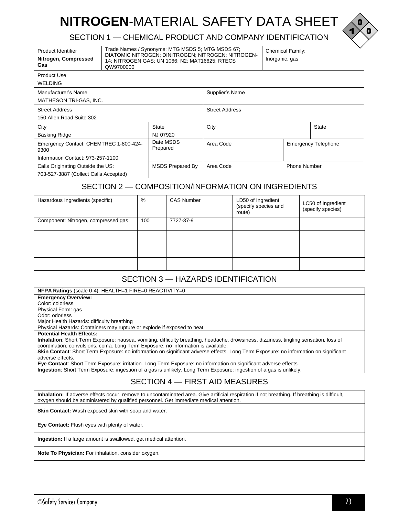# **NITROGEN**-MATERIAL SAFETY DATA SHEET



| Product Identifier<br>Nitrogen, Compressed<br>Gas | Trade Names / Synonyms: MTG MSDS 5; MTG MSDS 67;<br>DIATOMIC NITROGEN; DINITROGEN; NITROGEN; NITROGEN-<br>14; NITROGEN GAS; UN 1066; N2; MAT16625; RTECS<br>QW9700000 |                         |                       | Chemical Family:<br>Inorganic, gas |                            |
|---------------------------------------------------|-----------------------------------------------------------------------------------------------------------------------------------------------------------------------|-------------------------|-----------------------|------------------------------------|----------------------------|
| Product Use                                       |                                                                                                                                                                       |                         |                       |                                    |                            |
| WELDING                                           |                                                                                                                                                                       |                         |                       |                                    |                            |
| Manufacturer's Name                               |                                                                                                                                                                       |                         | Supplier's Name       |                                    |                            |
| MATHESON TRI-GAS, INC.                            |                                                                                                                                                                       |                         |                       |                                    |                            |
| <b>Street Address</b>                             |                                                                                                                                                                       |                         | <b>Street Address</b> |                                    |                            |
| 150 Allen Road Suite 302                          |                                                                                                                                                                       |                         |                       |                                    |                            |
| City                                              |                                                                                                                                                                       | <b>State</b>            | City                  |                                    | <b>State</b>               |
| <b>Basking Ridge</b>                              |                                                                                                                                                                       | NJ 07920                |                       |                                    |                            |
| Emergency Contact: CHEMTREC 1-800-424-<br>9300    |                                                                                                                                                                       | Date MSDS<br>Prepared   | Area Code             |                                    | <b>Emergency Telephone</b> |
| Information Contact: 973-257-1100                 |                                                                                                                                                                       |                         |                       |                                    |                            |
| Calls Originating Outside the US:                 |                                                                                                                                                                       | <b>MSDS Prepared By</b> | Area Code             | <b>Phone Number</b>                |                            |
| 703-527-3887 (Collect Calls Accepted)             |                                                                                                                                                                       |                         |                       |                                    |                            |

#### SECTION 2 — COMPOSITION/INFORMATION ON INGREDIENTS

| Hazardous Ingredients (specific)    | %   | <b>CAS Number</b> | LD50 of Ingredient<br>(specify species and<br>route) | LC50 of Ingredient<br>(specify species) |
|-------------------------------------|-----|-------------------|------------------------------------------------------|-----------------------------------------|
| Component: Nitrogen, compressed gas | 100 | 7727-37-9         |                                                      |                                         |
|                                     |     |                   |                                                      |                                         |
|                                     |     |                   |                                                      |                                         |
|                                     |     |                   |                                                      |                                         |

## SECTION 3 — HAZARDS IDENTIFICATION

| NFPA Ratings (scale 0-4): HEALTH=1 FIRE=0 REACTIVITY=0                                                                                |
|---------------------------------------------------------------------------------------------------------------------------------------|
| <b>Emergency Overview:</b>                                                                                                            |
| Color: colorless                                                                                                                      |
| Physical Form: gas                                                                                                                    |
| Odor: odorless                                                                                                                        |
| Major Health Hazards: difficulty breathing                                                                                            |
| Physical Hazards: Containers may rupture or explode if exposed to heat                                                                |
| <b>Potential Health Effects:</b>                                                                                                      |
| Inhalation: Short Term Exposure: nausea, vomiting, difficulty breathing, headache, drowsiness, dizziness, tingling sensation, loss of |
| coordination, convulsions, coma. Long Term Exposure: no information is available.                                                     |
| Skin Contact: Short Term Exposure: no information on significant adverse effects. Long Term Exposure: no information on significant   |
| adverse effects.                                                                                                                      |
| Eye Contact: Short Term Exposure: irritation. Long Term Exposure: no information on significant adverse effects.                      |

**Ingestion**: Short Term Exposure: ingestion of a gas is unlikely. Long Term Exposure: ingestion of a gas is unlikely.

#### SECTION 4 — FIRST AID MEASURES

**Inhalation:** If adverse effects occur, remove to uncontaminated area. Give artificial respiration if not breathing. If breathing is difficult, oxygen should be administered by qualified personnel. Get immediate medical attention.

**Skin Contact:** Wash exposed skin with soap and water.

**Eye Contact:** Flush eyes with plenty of water.

**Ingestion:** If a large amount is swallowed, get medical attention.

**Note To Physician:** For inhalation, consider oxygen.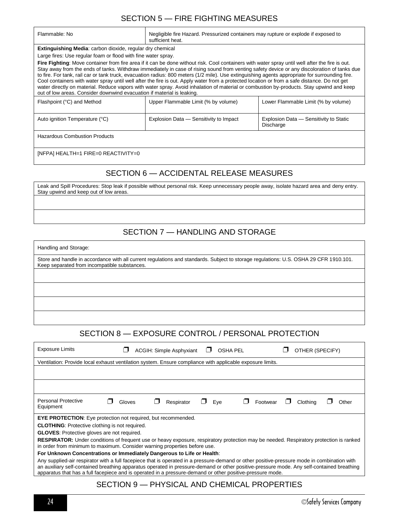## SECTION 5 — FIRE FIGHTING MEASURES

| Flammable: No                                                                                                                                                                                                                                                                                                                                                                                                                                                                                                                                                                                                                                                                                                                                                                                                           | Negligible fire Hazard. Pressurized containers may rupture or explode if exposed to<br>sufficient heat. |                                     |  |  |  |
|-------------------------------------------------------------------------------------------------------------------------------------------------------------------------------------------------------------------------------------------------------------------------------------------------------------------------------------------------------------------------------------------------------------------------------------------------------------------------------------------------------------------------------------------------------------------------------------------------------------------------------------------------------------------------------------------------------------------------------------------------------------------------------------------------------------------------|---------------------------------------------------------------------------------------------------------|-------------------------------------|--|--|--|
| <b>Extinguishing Media:</b> carbon dioxide, regular dry chemical                                                                                                                                                                                                                                                                                                                                                                                                                                                                                                                                                                                                                                                                                                                                                        |                                                                                                         |                                     |  |  |  |
| Large fires: Use regular foam or flood with fine water spray.                                                                                                                                                                                                                                                                                                                                                                                                                                                                                                                                                                                                                                                                                                                                                           |                                                                                                         |                                     |  |  |  |
| Fire Fighting: Move container from fire area if it can be done without risk. Cool containers with water spray until well after the fire is out.<br>Stay away from the ends of tanks. Withdraw immediately in case of rising sound from venting safety device or any discoloration of tanks due<br>to fire. For tank, rail car or tank truck, evacuation radius: 800 meters (1/2 mile). Use extinguishing agents appropriate for surrounding fire.<br>Cool containers with water spray until well after the fire is out. Apply water from a protected location or from a safe distance. Do not get<br>water directly on material. Reduce vapors with water spray. Avoid inhalation of material or combustion by-products. Stay upwind and keep<br>out of low areas. Consider downwind evacuation if material is leaking. |                                                                                                         |                                     |  |  |  |
| Flashpoint (°C) and Method                                                                                                                                                                                                                                                                                                                                                                                                                                                                                                                                                                                                                                                                                                                                                                                              | Upper Flammable Limit (% by volume)                                                                     | Lower Flammable Limit (% by volume) |  |  |  |
| Auto ignition Temperature (°C)                                                                                                                                                                                                                                                                                                                                                                                                                                                                                                                                                                                                                                                                                                                                                                                          | Explosion Data - Sensitivity to Static<br>Explosion Data – Sensitivity to Impact<br>Discharge           |                                     |  |  |  |
| <b>Hazardous Combustion Products</b>                                                                                                                                                                                                                                                                                                                                                                                                                                                                                                                                                                                                                                                                                                                                                                                    |                                                                                                         |                                     |  |  |  |
| [NFPA] HEALTH=1 FIRE=0 REACTIVITY=0                                                                                                                                                                                                                                                                                                                                                                                                                                                                                                                                                                                                                                                                                                                                                                                     |                                                                                                         |                                     |  |  |  |

## SECTION 6 — ACCIDENTAL RELEASE MEASURES

Leak and Spill Procedures: Stop leak if possible without personal risk. Keep unnecessary people away, isolate hazard area and deny entry. Stay upwind and keep out of low areas.

### SECTION 7 — HANDLING AND STORAGE

| Handling and Storage:                                                                                                                                                                 |
|---------------------------------------------------------------------------------------------------------------------------------------------------------------------------------------|
| Store and handle in accordance with all current regulations and standards. Subject to storage regulations: U.S. OSHA 29 CFR 1910.101.<br>Keep separated from incompatible substances. |
|                                                                                                                                                                                       |
|                                                                                                                                                                                       |
|                                                                                                                                                                                       |
|                                                                                                                                                                                       |

### SECTION 8 — EXPOSURE CONTROL / PERSONAL PROTECTION

| <b>Exposure Limits</b>                                                                                                                                                                                                                                                                                                                                                                                | <b>ACGIH: Simple Asphyxiant</b> | <b>OSHA PEL</b>                                                                                           | OTHER (SPECIFY)   |  |  |
|-------------------------------------------------------------------------------------------------------------------------------------------------------------------------------------------------------------------------------------------------------------------------------------------------------------------------------------------------------------------------------------------------------|---------------------------------|-----------------------------------------------------------------------------------------------------------|-------------------|--|--|
|                                                                                                                                                                                                                                                                                                                                                                                                       |                                 | Ventilation: Provide local exhaust ventilation system. Ensure compliance with applicable exposure limits. |                   |  |  |
|                                                                                                                                                                                                                                                                                                                                                                                                       |                                 |                                                                                                           |                   |  |  |
|                                                                                                                                                                                                                                                                                                                                                                                                       |                                 |                                                                                                           |                   |  |  |
| Personal Protective<br>Equipment                                                                                                                                                                                                                                                                                                                                                                      | Respirator<br>Gloves            | Eve<br>Footwear                                                                                           | Clothing<br>Other |  |  |
| <b>EYE PROTECTION:</b> Eye protection not required, but recommended.                                                                                                                                                                                                                                                                                                                                  |                                 |                                                                                                           |                   |  |  |
| <b>CLOTHING:</b> Protective clothing is not required.                                                                                                                                                                                                                                                                                                                                                 |                                 |                                                                                                           |                   |  |  |
| <b>GLOVES:</b> Protective gloves are not required.                                                                                                                                                                                                                                                                                                                                                    |                                 |                                                                                                           |                   |  |  |
| <b>RESPIRATOR:</b> Under conditions of frequent use or heavy exposure, respiratory protection may be needed. Respiratory protection is ranked<br>in order from minimum to maximum. Consider warning properties before use.                                                                                                                                                                            |                                 |                                                                                                           |                   |  |  |
| For Unknown Concentrations or Immediately Dangerous to Life or Health:                                                                                                                                                                                                                                                                                                                                |                                 |                                                                                                           |                   |  |  |
| Any supplied-air respirator with a full facepiece that is operated in a pressure-demand or other positive-pressure mode in combination with<br>an auxiliary self-contained breathing apparatus operated in pressure-demand or other positive-pressure mode. Any self-contained breathing<br>apparatus that has a full facepiece and is operated in a pressure-demand or other positive-pressure mode. |                                 |                                                                                                           |                   |  |  |
|                                                                                                                                                                                                                                                                                                                                                                                                       |                                 |                                                                                                           |                   |  |  |

#### SECTION 9 — PHYSICAL AND CHEMICAL PROPERTIES

٦

Г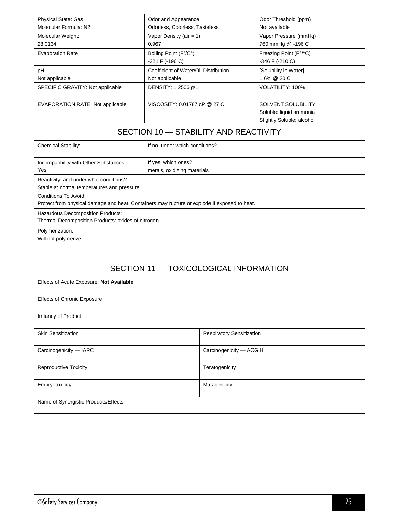| <b>Physical State: Gas</b>              | Odor and Appearance                   | Odor Threshold (ppm)       |
|-----------------------------------------|---------------------------------------|----------------------------|
| Molecular Formula: N2                   | Odorless, Colorless, Tasteless        | Not available              |
| Molecular Weight:                       | Vapor Density (air = $1$ )            | Vapor Pressure (mmHq)      |
| 28.0134                                 | 0.967                                 | 760 mmHg @ -196 C          |
| <b>Evaporation Rate</b>                 | Boiling Point (F°/C°)                 | Freezing Point (F°/°C)     |
|                                         | $-321$ F ( $-196$ C)                  | $-346$ F ( $-210$ C)       |
| рH                                      | Coefficient of Water/Oil Distribution | [Solubility in Water]      |
| Not applicable                          | Not applicable                        | 1.6% @ 20 C                |
| SPECIFIC GRAVITY: Not applicable        | DENSITY: 1.2506 g/L                   | <b>VOLATILITY: 100%</b>    |
|                                         |                                       |                            |
| <b>EVAPORATION RATE: Not applicable</b> | VISCOSITY: 0.01787 cP @ 27 C          | <b>SOLVENT SOLUBILITY:</b> |
|                                         |                                       | Soluble: liquid ammonia    |
|                                         |                                       | Slightly Soluble: alcohol  |

# SECTION 10 - STABILITY AND REACTIVITY

| <b>Chemical Stability:</b>                                                                                           | If no, under which conditions?                     |  |  |
|----------------------------------------------------------------------------------------------------------------------|----------------------------------------------------|--|--|
| Incompatibility with Other Substances:<br>Yes                                                                        | If yes, which ones?<br>metals, oxidizing materials |  |  |
| Reactivity, and under what conditions?<br>Stable at normal temperatures and pressure.                                |                                                    |  |  |
| Conditions To Avoid:<br>Protect from physical damage and heat. Containers may rupture or explode if exposed to heat. |                                                    |  |  |
| Hazardous Decomposition Products:<br>Thermal Decomposition Products: oxides of nitrogen                              |                                                    |  |  |
| Polymerization:<br>Will not polymerize.                                                                              |                                                    |  |  |
|                                                                                                                      |                                                    |  |  |

# SECTION 11 — TOXICOLOGICAL INFORMATION

| Effects of Acute Exposure: Not Available |                                  |  |  |  |
|------------------------------------------|----------------------------------|--|--|--|
| <b>Effects of Chronic Exposure</b>       |                                  |  |  |  |
| <b>Irritancy of Product</b>              |                                  |  |  |  |
| <b>Skin Sensitization</b>                | <b>Respiratory Sensitization</b> |  |  |  |
| Carcinogenicity - IARC                   | Carcinogenicity - ACGIH          |  |  |  |
| Reproductive Toxicity                    | Teratogenicity                   |  |  |  |
| Embryotoxicity                           | Mutagenicity                     |  |  |  |
| Name of Synergistic Products/Effects     |                                  |  |  |  |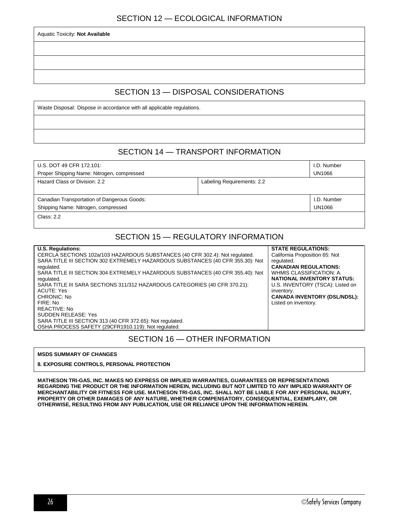#### SECTION 12 — ECOLOGICAL INFORMATION

|  | Aquatic Toxicity: Not Available |  |  |
|--|---------------------------------|--|--|
|  |                                 |  |  |

#### SECTION 13 — DISPOSAL CONSIDERATIONS

Waste Disposal: Dispose in accordance with all applicable regulations.

#### SECTION 14 — TRANSPORT INFORMATION

| U.S. DOT 49 CFR 172.101:                    |                            | I.D. Number |
|---------------------------------------------|----------------------------|-------------|
| Proper Shipping Name: Nitrogen, compressed  |                            | UN1066      |
| Hazard Class or Division: 2.2               | Labeling Requirements: 2.2 |             |
|                                             |                            |             |
| Canadian Transportation of Dangerous Goods: |                            | I.D. Number |
| Shipping Name: Nitrogen, compressed         |                            | UN1066      |
| Class: 2.2                                  |                            |             |
|                                             |                            |             |

#### SECTION 15 — REGULATORY INFORMATION

| <b>U.S. Regulations:</b>                                                       | <b>STATE REGULATIONS:</b>           |
|--------------------------------------------------------------------------------|-------------------------------------|
| CERCLA SECTIONS 102a/103 HAZARDOUS SUBSTANCES (40 CFR 302.4): Not regulated.   | California Proposition 65: Not      |
| SARA TITLE III SECTION 302 EXTREMELY HAZARDOUS SUBSTANCES (40 CFR 355.30): Not | regulated.                          |
| regulated.                                                                     | <b>CANADIAN REGULATIONS:</b>        |
| SARA TITLE III SECTION 304 EXTREMELY HAZARDOUS SUBSTANCES (40 CFR 355.40): Not | WHMIS CLASSIFICATION: A.            |
| regulated.                                                                     | <b>NATIONAL INVENTORY STATUS:</b>   |
| SARA TITLE III SARA SECTIONS 311/312 HAZARDOUS CATEGORIES (40 CFR 370.21):     | U.S. INVENTORY (TSCA): Listed on    |
| ACUTE: Yes                                                                     | inventory.                          |
| CHRONIC: No                                                                    | <b>CANADA INVENTORY (DSL/NDSL):</b> |
| FIRE: No                                                                       | Listed on inventory.                |
| REACTIVE: No                                                                   |                                     |
| <b>SUDDEN RELEASE: Yes</b>                                                     |                                     |
| SARA TITLE III SECTION 313 (40 CFR 372.65): Not regulated.                     |                                     |
| OSHA PROCESS SAFETY (29CFR1910.119): Not regulated.                            |                                     |

#### SECTION 16 — OTHER INFORMATION

#### **MSDS SUMMARY OF CHANGES**

#### **8. EXPOSURE CONTROLS, PERSONAL PROTECTION**

**MATHESON TRI-GAS, INC. MAKES NO EXPRESS OR IMPLIED WARRANTIES, GUARANTEES OR REPRESENTATIONS REGARDING THE PRODUCT OR THE INFORMATION HEREIN, INCLUDING BUT NOT LIMITED TO ANY IMPLIED WARRANTY OF MERCHANTABILITY OR FITNESS FOR USE. MATHESON TRI-GAS, INC. SHALL NOT BE LIABLE FOR ANY PERSONAL INJURY, PROPERTY OR OTHER DAMAGES OF ANY NATURE, WHETHER COMPENSATORY, CONSEQUENTIAL, EXEMPLARY, OR OTHERWISE, RESULTING FROM ANY PUBLICATION, USE OR RELIANCE UPON THE INFORMATION HEREIN.**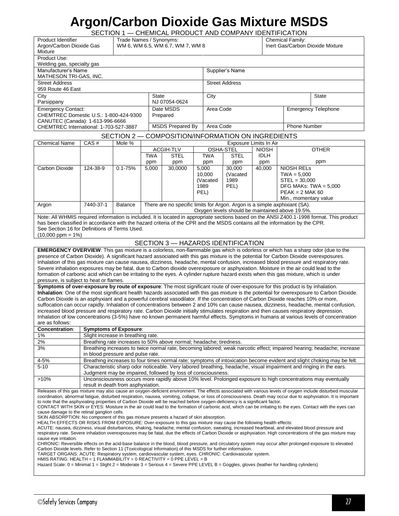# **Argon/Carbon Dioxide Gas Mixture MSDS**

SECTION 1 — CHEMICAL PRODUCT AND COMPANY IDENTIFICATION

| <b>Product Identifier</b>                                                                                                                                                                                                                                                     |                                                                                                                                                                                                                                                                                                                                   |                                    |              | SECTION T — CHEMICAL PRODUCT AND COMPANY IDENTIFICATION                    |                 |                       |                        |                                                 |                                                                                                                                                                                                                                              |
|-------------------------------------------------------------------------------------------------------------------------------------------------------------------------------------------------------------------------------------------------------------------------------|-----------------------------------------------------------------------------------------------------------------------------------------------------------------------------------------------------------------------------------------------------------------------------------------------------------------------------------|------------------------------------|--------------|----------------------------------------------------------------------------|-----------------|-----------------------|------------------------|-------------------------------------------------|----------------------------------------------------------------------------------------------------------------------------------------------------------------------------------------------------------------------------------------------|
| Argon/Carbon Dioxide Gas<br>Mixture                                                                                                                                                                                                                                           | Trade Names / Synonyms:<br>Chemical Family:<br>WM 6, WM 6.5, WM 6.7, WM 7, WM 8<br>Inert Gas/Carbon Dioxide Mixture                                                                                                                                                                                                               |                                    |              |                                                                            |                 |                       |                        |                                                 |                                                                                                                                                                                                                                              |
| Product Use:                                                                                                                                                                                                                                                                  |                                                                                                                                                                                                                                                                                                                                   |                                    |              |                                                                            |                 |                       |                        |                                                 |                                                                                                                                                                                                                                              |
| Welding gas, specialty gas<br>Manufacturer's Name                                                                                                                                                                                                                             |                                                                                                                                                                                                                                                                                                                                   |                                    |              |                                                                            |                 |                       |                        |                                                 |                                                                                                                                                                                                                                              |
| MATHESON TRI-GAS, INC.                                                                                                                                                                                                                                                        |                                                                                                                                                                                                                                                                                                                                   |                                    |              |                                                                            | Supplier's Name |                       |                        |                                                 |                                                                                                                                                                                                                                              |
| <b>Street Address</b><br>959 Route 46 East                                                                                                                                                                                                                                    |                                                                                                                                                                                                                                                                                                                                   |                                    |              |                                                                            |                 | <b>Street Address</b> |                        |                                                 |                                                                                                                                                                                                                                              |
| City                                                                                                                                                                                                                                                                          |                                                                                                                                                                                                                                                                                                                                   |                                    | <b>State</b> |                                                                            | City            |                       |                        |                                                 | State                                                                                                                                                                                                                                        |
| Parsippany                                                                                                                                                                                                                                                                    |                                                                                                                                                                                                                                                                                                                                   |                                    |              | NJ 07054-0624                                                              |                 |                       |                        |                                                 |                                                                                                                                                                                                                                              |
| <b>Emergency Contact:</b><br>CHEMTREC Domestic U.S.: 1-800-424-9300                                                                                                                                                                                                           |                                                                                                                                                                                                                                                                                                                                   |                                    |              | Date MSDS<br>Prepared                                                      | Area Code       |                       |                        |                                                 | <b>Emergency Telephone</b>                                                                                                                                                                                                                   |
| CANUTEC (Canada): 1-613-996-6666<br>CHEMTREC International: 1-703-527-3887                                                                                                                                                                                                    |                                                                                                                                                                                                                                                                                                                                   |                                    |              | MSDS Prepared By                                                           | Area Code       |                       |                        | <b>Phone Number</b>                             |                                                                                                                                                                                                                                              |
|                                                                                                                                                                                                                                                                               |                                                                                                                                                                                                                                                                                                                                   | SECTION 2 -                        |              | COMPOSITION/INFORMATION ON INGREDIENTS                                     |                 |                       |                        |                                                 |                                                                                                                                                                                                                                              |
| <b>Chemical Name</b>                                                                                                                                                                                                                                                          | CAS#                                                                                                                                                                                                                                                                                                                              | Mole %                             |              |                                                                            |                 |                       | Exposure Limits In Air |                                                 |                                                                                                                                                                                                                                              |
|                                                                                                                                                                                                                                                                               |                                                                                                                                                                                                                                                                                                                                   |                                    |              | <b>ACGIH-TLV</b>                                                           |                 | OSHA-STEL             | <b>NIOSH</b>           |                                                 | <b>OTHER</b>                                                                                                                                                                                                                                 |
|                                                                                                                                                                                                                                                                               |                                                                                                                                                                                                                                                                                                                                   |                                    | <b>TWA</b>   | <b>STEL</b>                                                                | <b>TWA</b>      | <b>STEL</b>           | <b>IDLH</b>            |                                                 |                                                                                                                                                                                                                                              |
| Carbon Dioxide                                                                                                                                                                                                                                                                | 124-38-9                                                                                                                                                                                                                                                                                                                          | $0.1 - 75%$                        | ppm<br>5,000 | ppm<br>30,0000                                                             | ppm<br>5,000    | ppm<br>30,000         | ppm<br>40.000          | <b>NIOSH RELS</b>                               | ppm                                                                                                                                                                                                                                          |
|                                                                                                                                                                                                                                                                               |                                                                                                                                                                                                                                                                                                                                   |                                    |              |                                                                            | 10,000          | (Vacated              |                        | $TWA = 5,000$                                   |                                                                                                                                                                                                                                              |
|                                                                                                                                                                                                                                                                               |                                                                                                                                                                                                                                                                                                                                   |                                    |              |                                                                            | (Vacated        | 1989                  |                        | $STEL = 30,000$                                 |                                                                                                                                                                                                                                              |
|                                                                                                                                                                                                                                                                               |                                                                                                                                                                                                                                                                                                                                   |                                    |              |                                                                            | 1989            | PEL)                  |                        |                                                 | DFG MAKs: $TWA = 5,000$                                                                                                                                                                                                                      |
|                                                                                                                                                                                                                                                                               |                                                                                                                                                                                                                                                                                                                                   |                                    |              |                                                                            | PEL)            |                       |                        | $PEAK = 2$ MAK 60<br>Min., momentary value      |                                                                                                                                                                                                                                              |
| Argon                                                                                                                                                                                                                                                                         | 7440-37-1                                                                                                                                                                                                                                                                                                                         | Balance                            |              | There are no specific limits for Argon. Argon is a simple axphixiant (SA). |                 |                       |                        |                                                 |                                                                                                                                                                                                                                              |
|                                                                                                                                                                                                                                                                               |                                                                                                                                                                                                                                                                                                                                   |                                    |              |                                                                            |                 |                       |                        | Oxygen levels should be maintained above 19.5%. |                                                                                                                                                                                                                                              |
|                                                                                                                                                                                                                                                                               |                                                                                                                                                                                                                                                                                                                                   |                                    |              |                                                                            |                 |                       |                        |                                                 | Note: All WHMIS required information is included. It is located in appropriate sections based on the ANSI Z400.1-1998 format. This product                                                                                                   |
| has been classified in accordance with the hazard criteria of the CPR and the MSDS contains all the information by the CPR.<br>See Section 16 for Definitions of Terms Used.                                                                                                  |                                                                                                                                                                                                                                                                                                                                   |                                    |              |                                                                            |                 |                       |                        |                                                 |                                                                                                                                                                                                                                              |
| $(10,000$ ppm = 1%)                                                                                                                                                                                                                                                           |                                                                                                                                                                                                                                                                                                                                   |                                    |              |                                                                            |                 |                       |                        |                                                 |                                                                                                                                                                                                                                              |
|                                                                                                                                                                                                                                                                               |                                                                                                                                                                                                                                                                                                                                   |                                    |              | SECTION 3 - HAZARDS IDENTIFICATION                                         |                 |                       |                        |                                                 |                                                                                                                                                                                                                                              |
| EMERGENCY OVERVIEW: This gas mixture is a colorless, non-flammable gas which is odorless or which has a sharp odor (due to the                                                                                                                                                |                                                                                                                                                                                                                                                                                                                                   |                                    |              |                                                                            |                 |                       |                        |                                                 |                                                                                                                                                                                                                                              |
| presence of Carbon Dioxide). A significant hazard associated with this gas mixture is the potential for Carbon Dioxide overexposures.                                                                                                                                         |                                                                                                                                                                                                                                                                                                                                   |                                    |              |                                                                            |                 |                       |                        |                                                 |                                                                                                                                                                                                                                              |
| Inhalation of this gas mixture can cause nausea, dizziness, headache, mental confusion, increased blood pressure and respiratory rate.                                                                                                                                        |                                                                                                                                                                                                                                                                                                                                   |                                    |              |                                                                            |                 |                       |                        |                                                 |                                                                                                                                                                                                                                              |
| Severe inhalation exposures may be fatal, due to Carbon dioxide overexposure or asphyxiation. Moisture in the air could lead to the<br>formation of carbonic acid which can be irritating to the eyes. A cylinder rupture hazard exists when this gas mixture, which is under |                                                                                                                                                                                                                                                                                                                                   |                                    |              |                                                                            |                 |                       |                        |                                                 |                                                                                                                                                                                                                                              |
| pressure, is subject to heat or flames.                                                                                                                                                                                                                                       |                                                                                                                                                                                                                                                                                                                                   |                                    |              |                                                                            |                 |                       |                        |                                                 |                                                                                                                                                                                                                                              |
| Symptoms of over-exposure by route of exposure: The most significant route of over-exposure for this product is by inhalation.                                                                                                                                                |                                                                                                                                                                                                                                                                                                                                   |                                    |              |                                                                            |                 |                       |                        |                                                 |                                                                                                                                                                                                                                              |
|                                                                                                                                                                                                                                                                               |                                                                                                                                                                                                                                                                                                                                   |                                    |              |                                                                            |                 |                       |                        |                                                 | Inhalation: One of the most significant health hazards associated with this gas mixture is the potential for overexposure to Carbon Dioxide.                                                                                                 |
| Carbon Dioxide is an asphyxiant and a powerful cerebral vasodilator. If the concentration of Carbon Dioxide reaches 10% or more,                                                                                                                                              |                                                                                                                                                                                                                                                                                                                                   |                                    |              |                                                                            |                 |                       |                        |                                                 | suffocation can occur rapidly. Inhalation of concentrations between 2 and 10% can cause nausea, dizziness, headache, mental confusion,                                                                                                       |
| increased blood pressure and respiratory rate. Carbon Dioxide initially stimulates respiration and then causes respiratory depression.                                                                                                                                        |                                                                                                                                                                                                                                                                                                                                   |                                    |              |                                                                            |                 |                       |                        |                                                 |                                                                                                                                                                                                                                              |
|                                                                                                                                                                                                                                                                               |                                                                                                                                                                                                                                                                                                                                   |                                    |              |                                                                            |                 |                       |                        |                                                 | Inhalation of low concentrations (3-5%) have no known permanent harmful effects. Symptoms in humans at various levels of concentration                                                                                                       |
| are as follows:<br><b>Concentration:</b>                                                                                                                                                                                                                                      | <b>Symptoms of Exposure:</b>                                                                                                                                                                                                                                                                                                      |                                    |              |                                                                            |                 |                       |                        |                                                 |                                                                                                                                                                                                                                              |
| 1%                                                                                                                                                                                                                                                                            |                                                                                                                                                                                                                                                                                                                                   | Slight increase in breathing rate. |              |                                                                            |                 |                       |                        |                                                 |                                                                                                                                                                                                                                              |
| 2%                                                                                                                                                                                                                                                                            |                                                                                                                                                                                                                                                                                                                                   |                                    |              | Breathing rate increases to 50% above normal; headache; tiredness.         |                 |                       |                        |                                                 |                                                                                                                                                                                                                                              |
| 3%                                                                                                                                                                                                                                                                            |                                                                                                                                                                                                                                                                                                                                   |                                    |              |                                                                            |                 |                       |                        |                                                 | Breathing increases to twice normal rate, becoming labored; weak narcotic effect; impaired hearing; headache; increase                                                                                                                       |
|                                                                                                                                                                                                                                                                               |                                                                                                                                                                                                                                                                                                                                   | in blood pressure and pulse rate.  |              |                                                                            |                 |                       |                        |                                                 |                                                                                                                                                                                                                                              |
| 4-5%<br>$5 - 10$                                                                                                                                                                                                                                                              |                                                                                                                                                                                                                                                                                                                                   |                                    |              |                                                                            |                 |                       |                        |                                                 | Breathing increases to four times normal rate; symptoms of intoxication become evident and slight choking may be felt.<br>Characteristic sharp odor noticeable. Very labored breathing, headache, visual impairment and ringing in the ears. |
|                                                                                                                                                                                                                                                                               |                                                                                                                                                                                                                                                                                                                                   |                                    |              | Judgment may be impaired, followed by loss of consciousness.               |                 |                       |                        |                                                 |                                                                                                                                                                                                                                              |
| >10%                                                                                                                                                                                                                                                                          |                                                                                                                                                                                                                                                                                                                                   |                                    |              |                                                                            |                 |                       |                        |                                                 | Unconsciousness occurs more rapidly above 10% level. Prolonged exposure to high concentrations may eventually                                                                                                                                |
|                                                                                                                                                                                                                                                                               | result in death from asphyxiation.                                                                                                                                                                                                                                                                                                |                                    |              |                                                                            |                 |                       |                        |                                                 |                                                                                                                                                                                                                                              |
|                                                                                                                                                                                                                                                                               | Releases of this gas mixture may also cause an oxygen-deficient environment. The effects associated with various levels of oxygen include disturbed muscular<br>coordination, abnormal fatigue, disturbed respiration, nausea, vomiting, collapse, or loss of consciousness. Death may occur due to asphyxiation. It is important |                                    |              |                                                                            |                 |                       |                        |                                                 |                                                                                                                                                                                                                                              |
| to note that the asphyxiating properties of Carbon Dioxide will be reached before oxygen-deficiency is a significant factor.                                                                                                                                                  |                                                                                                                                                                                                                                                                                                                                   |                                    |              |                                                                            |                 |                       |                        |                                                 |                                                                                                                                                                                                                                              |
| CONTACT WITH SKIN or EYES: Moisture in the air could lead to the formation of carbonic acid, which can be irritating to the eyes. Contact with the eyes can<br>cause damage to the retinal ganglion cells.                                                                    |                                                                                                                                                                                                                                                                                                                                   |                                    |              |                                                                            |                 |                       |                        |                                                 |                                                                                                                                                                                                                                              |
| SKIN ABSORPTION: No component of this gas mixture presents a hazard of skin absorption.                                                                                                                                                                                       |                                                                                                                                                                                                                                                                                                                                   |                                    |              |                                                                            |                 |                       |                        |                                                 |                                                                                                                                                                                                                                              |
| HEALTH EFFECTS OR RISKS FROM EXPOSURE: Over-exposure to this gas mixture may cause the following health effects:<br>ACUTE: nausea, dizziness, visual disturbances, shaking, headache, mental confusion, sweating, increased heartbeat, and elevated blood pressure and        |                                                                                                                                                                                                                                                                                                                                   |                                    |              |                                                                            |                 |                       |                        |                                                 |                                                                                                                                                                                                                                              |
| respiratory rate. Severe inhalation overexposures may be fatal, due the effects of Carbon Dioxide or asphyxiation. High concentrations of the gas mixture may                                                                                                                 |                                                                                                                                                                                                                                                                                                                                   |                                    |              |                                                                            |                 |                       |                        |                                                 |                                                                                                                                                                                                                                              |
| cause eye irritation.<br>CHRONIC: Reversible effects on the acid-base balance in the blood, blood pressure, and circulatory system may occur after prolonged exposure to elevated                                                                                             |                                                                                                                                                                                                                                                                                                                                   |                                    |              |                                                                            |                 |                       |                        |                                                 |                                                                                                                                                                                                                                              |
| Carbon Dioxide levels. Refer to Section 11 (Toxicological Information) of this MSDS for further information.                                                                                                                                                                  |                                                                                                                                                                                                                                                                                                                                   |                                    |              |                                                                            |                 |                       |                        |                                                 |                                                                                                                                                                                                                                              |
| TARGET ORGANS: ACUTE: Respiratory system, cardiovascular system, eyes. CHRONIC: Cardiovascular system.                                                                                                                                                                        |                                                                                                                                                                                                                                                                                                                                   |                                    |              |                                                                            |                 |                       |                        |                                                 |                                                                                                                                                                                                                                              |
|                                                                                                                                                                                                                                                                               | HMIS RATING: HEALTH = 1 FLAMMABILITY = 0 REACTIVITY = 0 PPE LEVEL = B<br>Hazard Scale: 0 = Minimal 1 = Slight 2 = Moderate 3 = Serious 4 = Severe PPE LEVEL B = Goggles, gloves (leather for handling cylinders)                                                                                                                  |                                    |              |                                                                            |                 |                       |                        |                                                 |                                                                                                                                                                                                                                              |
|                                                                                                                                                                                                                                                                               |                                                                                                                                                                                                                                                                                                                                   |                                    |              |                                                                            |                 |                       |                        |                                                 |                                                                                                                                                                                                                                              |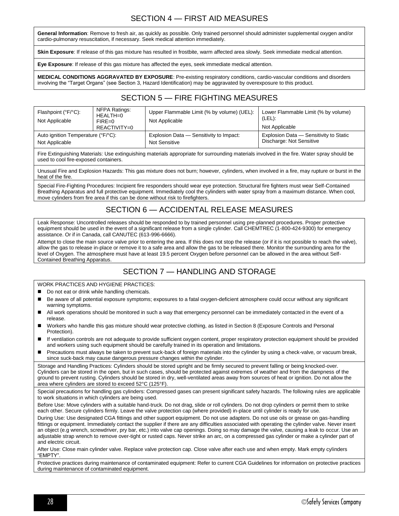### SECTION 4 — FIRST AID MEASURES

**General Information**: Remove to fresh air, as quickly as possible. Only trained personnel should administer supplemental oxygen and/or cardio-pulmonary resuscitation, if necessary. Seek medical attention immediately.

**Skin Exposure**: If release of this gas mixture has resulted in frostbite, warm affected area slowly. Seek immediate medical attention.

**Eye Exposure**: If release of this gas mixture has affected the eyes, seek immediate medical attention.

**MEDICAL CONDITIONS AGGRAVATED BY EXPOSURE**: Pre-existing respiratory conditions, cardio-vascular conditions and disorders involving the "Target Organs" (see Section 3, Hazard Identification) may be aggravated by overexposure to this product.

# SECTION 5 — FIRE FIGHTING MEASURES

| Flashpoint (°F/°C):<br>Not Applicable | NFPA Ratings:<br>HEALTH=0<br>$FIRF=0$<br>REACTIVITY=0 | Upper Flammable Limit (% by volume) (UEL):<br>Not Applicable | Lower Flammable Limit (% by volume)<br>$(LEL)$ :<br>Not Applicable |
|---------------------------------------|-------------------------------------------------------|--------------------------------------------------------------|--------------------------------------------------------------------|
| Auto ignition Temperature (°F/°C):    |                                                       | Explosion Data - Sensitivity to Impact:                      | Explosion Data - Sensitivity to Static                             |
| Not Applicable                        |                                                       | Not Sensitive                                                | Discharge: Not Sensitive                                           |

Fire Extinguishing Materials: Use extinguishing materials appropriate for surrounding materials involved in the fire. Water spray should be used to cool fire-exposed containers.

Unusual Fire and Explosion Hazards: This gas mixture does not burn; however, cylinders, when involved in a fire, may rupture or burst in the heat of the fire.

Special Fire-Fighting Procedures: Incipient fire responders should wear eye protection. Structural fire fighters must wear Self-Contained Breathing Apparatus and full protective equipment. Immediately cool the cylinders with water spray from a maximum distance. When cool, move cylinders from fire area if this can be done without risk to firefighters.

#### SECTION 6 — ACCIDENTAL RELEASE MEASURES

Leak Response: Uncontrolled releases should be responded to by trained personnel using pre-planned procedures. Proper protective equipment should be used in the event of a significant release from a single cylinder. Call CHEMTREC (1-800-424-9300) for emergency assistance. Or if in Canada, call CANUTEC (613-996-6666).

Attempt to close the main source valve prior to entering the area. If this does not stop the release (or if it is not possible to reach the valve), allow the gas to release in-place or remove it to a safe area and allow the gas to be released there. Monitor the surrounding area for the level of Oxygen. The atmosphere must have at least 19.5 percent Oxygen before personnel can be allowed in the area without Self-Contained Breathing Apparatus.

# SECTION 7 — HANDLING AND STORAGE

WORK PRACTICES AND HYGIENE PRACTICES:

- Do not eat or drink while handling chemicals.
- Be aware of all potential exposure symptoms; exposures to a fatal oxygen-deficient atmosphere could occur without any significant warning symptoms.
- All work operations should be monitored in such a way that emergency personnel can be immediately contacted in the event of a release.
- Workers who handle this gas mixture should wear protective clothing, as listed in Section 8 (Exposure Controls and Personal Protection).
- If ventilation controls are not adequate to provide sufficient oxygen content, proper respiratory protection equipment should be provided and workers using such equipment should be carefully trained in its operation and limitations.
- **Precautions must always be taken to prevent suck-back of foreign materials into the cylinder by using a check-valve, or vacuum break,** since suck-back may cause dangerous pressure changes within the cylinder.

Storage and Handling Practices: Cylinders should be stored upright and be firmly secured to prevent falling or being knocked-over. Cylinders can be stored in the open, but in such cases, should be protected against extremes of weather and from the dampness of the ground to prevent rusting. Cylinders should be stored in dry, well-ventilated areas away from sources of heat or ignition. Do not allow the area where cylinders are stored to exceed 52°C (125°F).

Special precautions for handling gas cylinders: Compressed gases can present significant safety hazards. The following rules are applicable to work situations in which cylinders are being used.

Before Use: Move cylinders with a suitable hand-truck. Do not drag, slide or roll cylinders. Do not drop cylinders or permit them to strike each other. Secure cylinders firmly. Leave the valve protection cap (where provided) in-place until cylinder is ready for use.

During Use: Use designated CGA fittings and other support equipment. Do not use adapters. Do not use oils or grease on gas-handling fittings or equipment. Immediately contact the supplier if there are any difficulties associated with operating the cylinder valve. Never insert an object (e.g wrench, screwdriver, pry bar, etc.) into valve cap openings. Doing so may damage the valve, causing a leak to occur. Use an adjustable strap wrench to remove over-tight or rusted caps. Never strike an arc, on a compressed gas cylinder or make a cylinder part of and electric circuit.

After Use: Close main cylinder valve. Replace valve protection cap. Close valve after each use and when empty. Mark empty cylinders "EMPTY".

Protective practices during maintenance of contaminated equipment: Refer to current CGA Guidelines for information on protective practices during maintenance of contaminated equipment.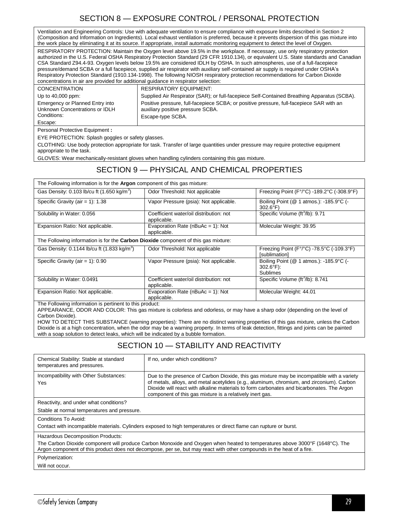## SECTION 8 — EXPOSURE CONTROL / PERSONAL PROTECTION

Ventilation and Engineering Controls: Use with adequate ventilation to ensure compliance with exposure limits described in Section 2 (Composition and Information on Ingredients). Local exhaust ventilation is preferred, because it prevents dispersion of this gas mixture into the work place by eliminating it at its source. If appropriate, install automatic monitoring equipment to detect the level of Oxygen.

RESPIRATORY PROTECTION: Maintain the Oxygen level above 19.5% in the workplace. If necessary, use only respiratory protection authorized in the U.S. Federal OSHA Respiratory Protection Standard (29 CFR 1910.134), or equivalent U.S. State standards and Canadian CSA Standard Z94.4-93. Oxygen levels below 19.5% are considered IDLH by OSHA. In such atmospheres, use of a full-facepiece pressure/demand SCBA or a full facepiece, supplied air respirator with auxiliary self-contained air supply is required under OSHA's Respiratory Protection Standard (1910.134-1998). The following NIOSH respiratory protection recommendations for Carbon Dioxide concentrations in air are provided for additional guidance in respirator selection:

| <b>CONCENTRATION</b>                                                             | <b>RESPIRATORY EQUIPMENT:</b>                                                                                                                      |
|----------------------------------------------------------------------------------|----------------------------------------------------------------------------------------------------------------------------------------------------|
| Up to 40,000 ppm:                                                                | Supplied Air Respirator (SAR); or full-facepiece Self-Contained Breathing Apparatus (SCBA).                                                        |
| Emergency or Planned Entry into<br>Unknown Concentrations or IDLH<br>Conditions: | Positive pressure, full-facepiece SCBA; or positive pressure, full-facepiece SAR with an<br>auxiliary positive pressure SCBA.<br>Escape-type SCBA. |
| Escape:                                                                          |                                                                                                                                                    |

Personal Protective Equipment **:**

EYE PROTECTION: Splash goggles or safety glasses.

CLOTHING: Use body protection appropriate for task. Transfer of large quantities under pressure may require protective equipment appropriate to the task.

GLOVES: Wear mechanically-resistant gloves when handling cylinders containing this gas mixture.

#### SECTION 9 — PHYSICAL AND CHEMICAL PROPERTIES

| The Following information is for the <b>Argon</b> component of this gas mixture:   |                                                        |                                                                                                        |  |  |  |
|------------------------------------------------------------------------------------|--------------------------------------------------------|--------------------------------------------------------------------------------------------------------|--|--|--|
| Gas Density: 0.103 lb/cu ft (1.650 kg/m <sup>3</sup> )                             | Odor Threshold: Not applicable                         | Freezing Point (F°/°C) -189.2°C (-308.9°F)                                                             |  |  |  |
| Specific Gravity (air = 1): $1.38$                                                 | Vapor Pressure (psia): Not applicable.                 | Boiling Point (@ 1 atmos.): -185.9°C (-<br>$302.6^{\circ}F$                                            |  |  |  |
| Solubility in Water: 0.056                                                         | Coefficient water/oil distribution: not<br>applicable. | Specific Volume (ft <sup>3</sup> /lb): 9.71                                                            |  |  |  |
| Expansion Ratio: Not applicable.                                                   | Evaporation Rate ( $nBuAc = 1$ ): Not<br>applicable.   | Molecular Weight: 39.95                                                                                |  |  |  |
| The Following information is for the Carbon Dioxide component of this gas mixture: |                                                        |                                                                                                        |  |  |  |
| Gas Density: 0.1144 lb/cu ft (1.833 kg/m <sup>3</sup> )                            | Odor Threshold: Not applicable                         | Freezing Point ( $F^{\circ}$ / $^{\circ}$ C) -78.5 $^{\circ}$ C (-109.3 $^{\circ}$ F)<br>[sublimation] |  |  |  |
| Specific Gravity (air = $1$ ): 0.90                                                | Vapor Pressure (psia): Not applicable.                 | Boiling Point (@ 1 atmos.): -185.9°C (-<br>$302.6^{\circ}F$ :<br>Sublimes                              |  |  |  |
| Solubility in Water: 0.0491                                                        | Coefficient water/oil distribution: not<br>applicable. | Specific Volume (ft <sup>3</sup> /lb): 8.741                                                           |  |  |  |
| Expansion Ratio: Not applicable.                                                   | Evaporation Rate ( $nBuAc = 1$ ): Not<br>applicable.   | Molecular Weight: 44.01                                                                                |  |  |  |
| The Fellowing information is partinent to this product:                            |                                                        |                                                                                                        |  |  |  |

The Following information is pertinent to this product:

APPEARANCE, ODOR AND COLOR: This gas mixture is colorless and odorless, or may have a sharp odor (depending on the level of Carbon Dioxide).

HOW TO DETECT THIS SUBSTANCE (warning properties): There are no distinct warning properties of this gas mixture, unless the Carbon Dioxide is at a high concentration, when the odor may be a warning property. In terms of leak detection, fittings and joints can be painted with a soap solution to detect leaks, which will be indicated by a bubble formation.

### SECTION 10 — STABILITY AND REACTIVITY

| Chemical Stability: Stable at standard<br>temperatures and pressures.                                                                                                                                                                                | If no, under which conditions?                                                                                                                                                                                                                                                                                                                   |  |  |  |
|------------------------------------------------------------------------------------------------------------------------------------------------------------------------------------------------------------------------------------------------------|--------------------------------------------------------------------------------------------------------------------------------------------------------------------------------------------------------------------------------------------------------------------------------------------------------------------------------------------------|--|--|--|
| Incompatibility with Other Substances:<br>Yes                                                                                                                                                                                                        | Due to the presence of Carbon Dioxide, this gas mixture may be incompatible with a variety<br>of metals, alloys, and metal acetylides (e.g., aluminum, chromium, and zirconium). Carbon<br>Dioxide will react with alkaline materials to form carbonates and bicarbonates. The Argon<br>component of this gas mixture is a relatively inert gas. |  |  |  |
| Reactivity, and under what conditions?                                                                                                                                                                                                               |                                                                                                                                                                                                                                                                                                                                                  |  |  |  |
| Stable at normal temperatures and pressure.                                                                                                                                                                                                          |                                                                                                                                                                                                                                                                                                                                                  |  |  |  |
| Conditions To Avoid:                                                                                                                                                                                                                                 |                                                                                                                                                                                                                                                                                                                                                  |  |  |  |
| Contact with incompatible materials. Cylinders exposed to high temperatures or direct flame can rupture or burst.                                                                                                                                    |                                                                                                                                                                                                                                                                                                                                                  |  |  |  |
| <b>Hazardous Decomposition Products:</b>                                                                                                                                                                                                             |                                                                                                                                                                                                                                                                                                                                                  |  |  |  |
| The Carbon Dioxide component will produce Carbon Monoxide and Oxygen when heated to temperatures above 3000°F (1648°C). The<br>Argon component of this product does not decompose, per se, but may react with other compounds in the heat of a fire. |                                                                                                                                                                                                                                                                                                                                                  |  |  |  |
| Polymerization:                                                                                                                                                                                                                                      |                                                                                                                                                                                                                                                                                                                                                  |  |  |  |

Will not occur.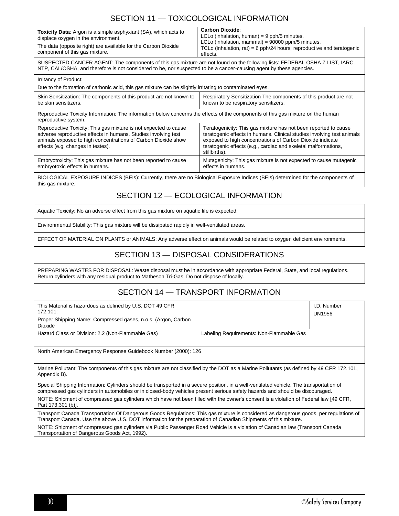# SECTION 11 — TOXICOLOGICAL INFORMATION

| <b>Toxicity Data:</b> Argon is a simple asphyxiant (SA), which acts to<br>displace oxygen in the environment.<br>The data (opposite right) are available for the Carbon Dioxide<br>component of this gas mixture.                                  | <b>Carbon Dioxide:</b><br>$LCLo$ (inhalation, human) = 9 pph/5 minutes.<br>$LCLo$ (inhalation, mammal) = 90000 ppm/5 minutes.<br>TCLo (inhalation, rat) = 6 pph/24 hours; reproductive and teratogenic<br>effects.                                                                        |  |  |  |
|----------------------------------------------------------------------------------------------------------------------------------------------------------------------------------------------------------------------------------------------------|-------------------------------------------------------------------------------------------------------------------------------------------------------------------------------------------------------------------------------------------------------------------------------------------|--|--|--|
| SUSPECTED CANCER AGENT: The components of this gas mixture are not found on the following lists: FEDERAL OSHA Z LIST, IARC,<br>NTP, CAL/OSHA, and therefore is not considered to be, nor suspected to be a cancer-causing agent by these agencies. |                                                                                                                                                                                                                                                                                           |  |  |  |
| Irritancy of Product:                                                                                                                                                                                                                              |                                                                                                                                                                                                                                                                                           |  |  |  |
| Due to the formation of carbonic acid, this gas mixture can be slightly irritating to contaminated eyes.                                                                                                                                           |                                                                                                                                                                                                                                                                                           |  |  |  |
| Skin Sensitization: The components of this product are not known to<br>be skin sensitizers.                                                                                                                                                        | Respiratory Sensitization The components of this product are not<br>known to be respiratory sensitizers.                                                                                                                                                                                  |  |  |  |
| Reproductive Toxicity Information: The information below concerns the effects of the components of this gas mixture on the human<br>reproductive system.                                                                                           |                                                                                                                                                                                                                                                                                           |  |  |  |
| Reproductive Toxicity: This gas mixture is not expected to cause<br>adverse reproductive effects in humans. Studies involving test<br>animals exposed to high concentrations of Carbon Dioxide show<br>effects (e.g. changes in testes).           | Teratogenicity: This gas mixture has not been reported to cause<br>teratogenic effects in humans. Clinical studies involving test animals<br>exposed to high concentrations of Carbon Dioxide indicate<br>teratogenic effects (e.g., cardiac and skeletal malformations,<br>stillbirths). |  |  |  |
| Embryotoxicity: This gas mixture has not been reported to cause<br>embryotoxic effects in humans.                                                                                                                                                  | Mutagenicity: This gas mixture is not expected to cause mutagenic<br>effects in humans.                                                                                                                                                                                                   |  |  |  |
| BIOLOGICAL EXPOSURE INDICES (BEIs): Currently, there are no Biological Exposure Indices (BEIs) determined for the components of                                                                                                                    |                                                                                                                                                                                                                                                                                           |  |  |  |

this gas mixture.

### SECTION 12 — ECOLOGICAL INFORMATION

Aquatic Toxicity: No an adverse effect from this gas mixture on aquatic life is expected.

Environmental Stability: This gas mixture will be dissipated rapidly in well-ventilated areas.

EFFECT OF MATERIAL ON PLANTS or ANIMALS: Any adverse effect on animals would be related to oxygen deficient environments.

### SECTION 13 — DISPOSAL CONSIDERATIONS

PREPARING WASTES FOR DISPOSAL: Waste disposal must be in accordance with appropriate Federal, State, and local regulations. Return cylinders with any residual product to Matheson Tri-Gas. Do not dispose of locally.

### SECTION 14 — TRANSPORT INFORMATION

| This Material is hazardous as defined by U.S. DOT 49 CFR<br>172.101:                                                                                                                                                                                                    |                                          | I.D. Number<br>UN1956 |  |  |
|-------------------------------------------------------------------------------------------------------------------------------------------------------------------------------------------------------------------------------------------------------------------------|------------------------------------------|-----------------------|--|--|
| Proper Shipping Name: Compressed gases, n.o.s. (Argon, Carbon<br>Dioxide                                                                                                                                                                                                |                                          |                       |  |  |
| Hazard Class or Division: 2.2 (Non-Flammable Gas)                                                                                                                                                                                                                       | Labeling Requirements: Non-Flammable Gas |                       |  |  |
| North American Emergency Response Guidebook Number (2000): 126                                                                                                                                                                                                          |                                          |                       |  |  |
| Marine Pollutant: The components of this gas mixture are not classified by the DOT as a Marine Pollutants (as defined by 49 CFR 172.101,<br>Appendix B).                                                                                                                |                                          |                       |  |  |
| Special Shipping Information: Cylinders should be transported in a secure position, in a well-ventilated vehicle. The transportation of<br>compressed gas cylinders in automobiles or in closed-body vehicles present serious safety hazards and should be discouraged. |                                          |                       |  |  |
| NOTE: Shipment of compressed gas cylinders which have not been filled with the owner's consent is a violation of Federal law [49 CFR,<br>Part 173.301 (b)].                                                                                                             |                                          |                       |  |  |
| Transport Canada Transportation Of Dangerous Goods Regulations: This gas mixture is considered as dangerous goods, per regulations of<br>Transport Canada. Use the above U.S. DOT information for the preparation of Canadian Shipments of this mixture.                |                                          |                       |  |  |
| NOTE: Shipment of compressed gas cylinders via Public Passenger Road Vehicle is a violation of Canadian law (Transport Canada<br>Transportation of Dangerous Goods Act, 1992).                                                                                          |                                          |                       |  |  |
|                                                                                                                                                                                                                                                                         |                                          |                       |  |  |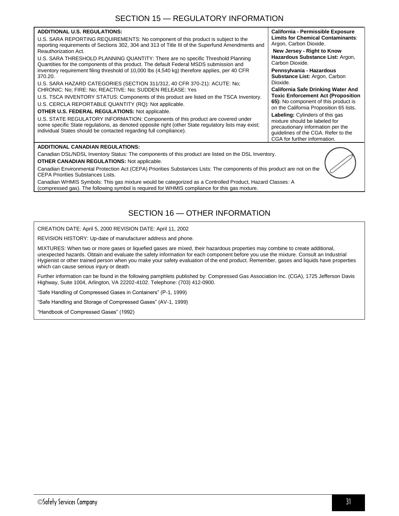#### **ADDITIONAL U.S. REGULATIONS:**

U.S. SARA REPORTING REQUIREMENTS: No component of this product is subject to the reporting requirements of Sections 302, 304 and 313 of Title III of the Superfund Amendments and Reauthorization Act.

U.S. SARA THRESHOLD PLANNING QUANTITY: There are no specific Threshold Planning Quantities for the components of this product. The default Federal MSDS submission and inventory requirement filing threshold of 10,000 lbs (4,540 kg) therefore applies, per 40 CFR 370.20.

U.S. SARA HAZARD CATEGORIES (SECTION 311/312, 40 CFR 370-21): ACUTE: No; CHRONIC: No; FIRE: No; REACTIVE: No; SUDDEN RELEASE: Yes

U.S. TSCA INVENTORY STATUS: Components of this product are listed on the TSCA Inventory.

U.S. CERCLA REPORTABLE QUANTITY (RQ): Not applicable.

**OTHER U.S. FEDERAL REGULATIONS:** Not applicable.

U.S. STATE REGULATORY INFORMATION: Components of this product are covered under some specific State regulations, as denoted opposite right (other State regulatory lists may exist; individual States should be contacted regarding full compliance).

#### **ADDITIONAL CANADIAN REGULATIONS:**

Canadian DSL/NDSL Inventory Status: The components of this product are listed on the DSL Inventory.

**OTHER CANADIAN REGULATIONS:** Not applicable.

Canadian Environmental Protection Act (CEPA) Priorities Substances Lists: The components of this product are not on the CEPA Priorities Substances Lists.

Canadian WHMIS Symbols: This gas mixture would be categorized as a Controlled Product, Hazard Classes: A (compressed gas). The following symbol is required for WHMIS compliance for this gas mixture.

# SECTION 16 — OTHER INFORMATION

CREATION DATE: April 5, 2000 REVISION DATE: April 11, 2002

REVISION HISTORY: Up-date of manufacturer address and phone.

MIXTURES: When two or more gases or liquefied gases are mixed, their hazardous properties may combine to create additional, unexpected hazards. Obtain and evaluate the safety information for each component before you use the mixture. Consult an Industrial Hygienist or other trained person when you make your safety evaluation of the end product. Remember, gases and liquids have properties which can cause serious injury or death.

Further information can be found in the following pamphlets published by: Compressed Gas Association Inc. (CGA), 1725 Jefferson Davis Highway, Suite 1004, Arlington, VA 22202-4102. Telephone: (703) 412-0900.

"Safe Handling of Compressed Gases in Containers" (P-1, 1999)

"Safe Handling and Storage of Compressed Gases" (AV-1, 1999)

"Handbook of Compressed Gases" (1992)

**California - Permissible Exposure Limits for Chemical Contaminants**: Argon, Carbon Dioxide.

**New Jersey - Right to Know Hazardous Substance List:** Argon, Carbon Dioxide.

**Pennsylvania - Hazardous Substance List:** Argon, Carbon Dioxide.

**California Safe Drinking Water And Toxic Enforcement Act (Proposition 65):** No component of this product is on the California Proposition 65 lists.

**Labeling:** Cylinders of this gas mixture should be labeled for precautionary information per the guidelines of the CGA. Refer to the CGA for further information.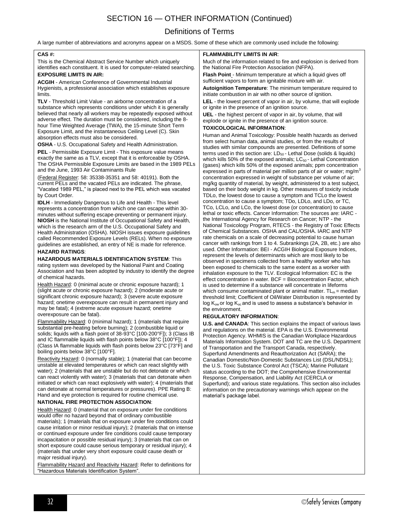## SECTION 16 — OTHER INFORMATION (Continued)

#### Definitions of Terms

A large number of abbreviations and acronyms appear on a MSDS. Some of these which are commonly used include the following:

#### **CAS #:**

This is the Chemical Abstract Service Number which uniquely identifies each constituent. It is used for computer-related searching.

#### **EXPOSURE LIMITS IN AIR:**

**ACGIH** - American Conference of Governmental Industrial Hygienists, a professional association which establishes exposure limits.

**TLV** - Threshold Limit Value - an airborne concentration of a substance which represents conditions under which it is generally believed that nearly all workers may be repeatedly exposed without adverse effect. The duration must be considered, including the 8 hour Time Weighted Average (TWA), the 15-minute Short Term Exposure Limit, and the instantaneous Ceiling Level (C). Skin absorption effects must also be considered.

**OSHA** - U.S. Occupational Safety and Health Administration.

**PEL** - Permissible Exposure Limit - This exposure value means exactly the same as a TLV, except that it is enforceable by OSHA. The OSHA Permissible Exposure Limits are based in the 1989 PELs and the June, 1993 Air Contaminants Rule

(Federal Register: 58: 35338-35351 and 58: 40191). Both the current PELs and the vacated PELs are indicated. The phrase, "Vacated 1989 PEL," is placed next to the PEL which was vacated by Court Order.

**IDLH** - Immediately Dangerous to Life and Health - This level represents a concentration from which one can escape within 30 minutes without suffering escape-preventing or permanent injury. **NIOSH** is the National Institute of Occupational Safety and Health, which is the research arm of the U.S. Occupational Safety and Health Administration (OSHA). NIOSH issues exposure guidelines called Recommended Exposure Levels (RELs). When no exposure guidelines are established, an entry of NE is made for reference.

#### **HAZARD RATINGS**:

**HAZARDOUS MATERIALS IDENTIFICATION SYSTEM**: This rating system was developed by the National Paint and Coating Association and has been adopted by industry to identify the degree of chemical hazards.

Health Hazard: 0 (minimal acute or chronic exposure hazard); 1 (slight acute or chronic exposure hazard); 2 (moderate acute or significant chronic exposure hazard); 3 (severe acute exposure hazard; onetime overexposure can result in permanent injury and may be fatal); 4 (extreme acute exposure hazard; onetime overexposure can be fatal).

Flammability Hazard: 0 (minimal hazard); 1 (materials that require substantial pre-heating before burning); 2 (combustible liquid or solids; liquids with a flash point of 38-93°C [100-200°F]); 3 (Class IB and IC flammable liquids with flash points below 38°C [100°F]); 4 (Class IA flammable liquids with flash points below 23°C [73°F] and boiling points below 38°C [100°F].

Reactivity Hazard: 0 (normally stable); 1 (material that can become unstable at elevated temperatures or which can react slightly with water); 2 (materials that are unstable but do not detonate or which can react violently with water); 3 (materials that can detonate when initiated or which can react explosively with water); 4 (materials that can detonate at normal temperatures or pressures). PPE Rating B: Hand and eye protection is required for routine chemical use.

#### **NATIONAL FIRE PROTECTION ASSOCIATION**:

Health Hazard: 0 (material that on exposure under fire conditions would offer no hazard beyond that of ordinary combustible materials); 1 (materials that on exposure under fire conditions could cause irritation or minor residual injury); 2 (materials that on intense or continued exposure under fire conditions could cause temporary incapacitation or possible residual injury); 3 (materials that can on short exposure could cause serious temporary or residual injury); 4 (materials that under very short exposure could cause death or major residual injury).

Flammability Hazard and Reactivity Hazard: Refer to definitions for "Hazardous Materials Identification System".

#### **FLAMMABILITY LIMITS IN AIR**:

Much of the information related to fire and explosion is derived from the National Fire Protection Association (NFPA).

**Flash Point** - Minimum temperature at which a liquid gives off sufficient vapors to form an ignitable mixture with air.

**Autoignition Temperature**: The minimum temperature required to initiate combustion in air with no other source of ignition.

**LEL** - the lowest percent of vapor in air, by volume, that will explode or ignite in the presence of an ignition source.

**UEL** - the highest percent of vapor in air, by volume, that will explode or ignite in the presence of an ignition source.

#### **TOXICOLOGICAL INFORMATION**:

Human and Animal Toxicology: Possible health hazards as derived from select human data, animal studies, or from the results of studies with similar compounds are presented. Definitions of some terms used in this section are:  $LD_{50}$  - Lethal Dose (solids & liquids) which kills 50% of the exposed animals;  $LC_{50}$  - Lethal Concentration (gases) which kills 50% of the exposed animals; ppm concentration expressed in parts of material per million parts of air or water; mg/m $3$ concentration expressed in weight of substance per volume of air; mg/kg quantity of material, by weight, administered to a test subject, based on their body weight in kg. Other measures of toxicity include TDLo, the lowest dose to cause a symptom and TCLo the lowest concentration to cause a symptom; TDo, LDLo, and LDo, or TC, TCo, LCLo, and LCo, the lowest dose (or concentration) to cause lethal or toxic effects. Cancer Information: The sources are: IARC the International Agency for Research on Cancer; NTP - the National Toxicology Program, RTECS - the Registry of Toxic Effects of Chemical Substances. OSHA and CAL/OSHA. IARC and NTP rate chemicals on a scale of decreasing potential to cause human cancer with rankings from 1 to 4. Subrankings (2A, 2B, etc.) are also used. Other Information: BEI - ACGIH Biological Exposure Indices, represent the levels of determinants which are most likely to be observed in specimens collected from a healthy worker who has been exposed to chemicals to the same extent as a worker with inhalation exposure to the TLV. Ecological Information: EC is the effect concentration in water. BCF = Bioconcentration Factor, which is used to determine if a substance will concentrate in lifeforms which consume contaminated plant or animal matter.  $TL_m = median$ threshold limit; Coefficient of Oil/Water Distribution is represented by log  $K_{ow}$  or log  $K_{oc}$  and is used to assess a substance's behavior in the environment.

#### **REGULATORY INFORMATION**:

**U.S. and CANADA**: This section explains the impact of various laws and regulations on the material. EPA is the U.S. Environmental Protection Agency. WHMIS is the Canadian Workplace Hazardous Materials Information System. DOT and TC are the U.S. Department of Transportation and the Transport Canada, respectively. Superfund Amendments and Reauthorization Act (SARA); the Canadian Domestic/Non-Domestic Substances List (DSL/NDSL); the U.S. Toxic Substance Control Act (TSCA); Marine Pollutant status according to the DOT; the Comprehensive Environmental Response, Compensation, and Liability Act (CERCLA or Superfund); and various state regulations. This section also includes information on the precautionary warnings which appear on the material's package label.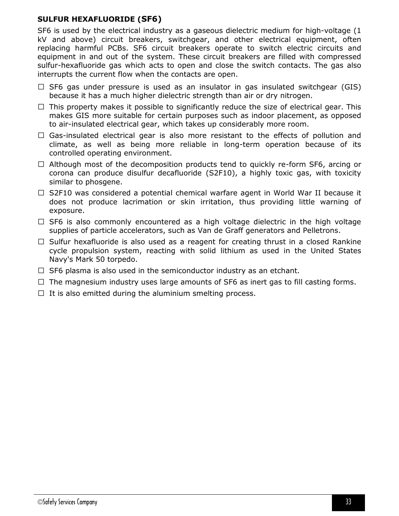#### **SULFUR HEXAFLUORIDE (SF6)**

SF6 is used by the [electrical industry](http://en.wikipedia.org/wiki/Electric_company) as a [gaseous](http://en.wikipedia.org/wiki/Gaseous) [dielectric](http://en.wikipedia.org/wiki/Dielectric) medium for high-voltage (1 kV and above) [circuit breakers,](http://en.wikipedia.org/wiki/Circuit_breaker) [switchgear,](http://en.wikipedia.org/wiki/Switchgear) and other [electrical](http://en.wikipedia.org/wiki/Electricity) equipment, often replacing harmful [PCBs.](http://en.wikipedia.org/wiki/PCBs) [SF6 circuit breakers](file:///C:\Documents%20and%20Settings\williams.p.SAFETY2U\glossary.html%23SF6) operate to switch electric circuits and equipment in and out of the system. These circuit breakers are filled with compressed sulfur-hexafluoride gas which acts to open and close the switch contacts. The gas also interrupts the current flow when the contacts are open.

- $\Box$  SF6 gas under [pressure](http://en.wikipedia.org/wiki/Pressure) is used as an insulator in [gas insulated switchgear](http://en.wikipedia.org/w/index.php?title=Gas_insulated_switchgear&action=edit) (GIS) because it has a much higher [dielectric strength](http://en.wikipedia.org/wiki/Dielectric_strength) than air or dry nitrogen.
- $\Box$  This property makes it possible to significantly reduce the size of electrical gear. This makes GIS more suitable for certain purposes such as indoor placement, as opposed to air-insulated electrical gear, which takes up considerably more room.
- $\Box$  Gas-insulated electrical gear is also more resistant to the effects of pollution and climate, as well as being more reliable in long-term operation because of its controlled operating environment.
- $\Box$  Although most of the decomposition products tend to quickly re-form SF6, [arcing](http://en.wikipedia.org/wiki/Electrical_arc) or [corona](http://en.wikipedia.org/wiki/Corona_discharge) can produce [disulfur decafluoride](http://en.wikipedia.org/wiki/Disulfur_decafluoride) [\(S2F10\)](http://en.wikipedia.org/wiki/Disulfur_decafluoride), a highly [toxic](http://en.wikipedia.org/wiki/Toxic) gas, with toxicity similar to [phosgene.](http://en.wikipedia.org/wiki/Phosgene)
- $\Box$  S2F10 was considered a potential [chemical warfare](http://en.wikipedia.org/wiki/Chemical_warfare) agent in [World War II](http://en.wikipedia.org/wiki/World_War_II) because it does not produce [lacrimation](http://en.wikipedia.org/wiki/Lacrimation) or skin irritation, thus providing little warning of exposure.
- $\Box$  SF6 is also commonly encountered as a high voltage dielectric in the high voltage supplies of [particle accelerators,](http://en.wikipedia.org/wiki/Particle_accelerator) such as [Van de Graff generators](http://en.wikipedia.org/wiki/Van_de_Graff_generator) and [Pelletrons.](http://en.wikipedia.org/wiki/Pelletron)
- $\Box$  Sulfur hexafluoride is also used as a [reagent](http://en.wikipedia.org/wiki/Reagent) for creating thrust in a closed Rankine [cycle](http://en.wikipedia.org/wiki/Rankine_cycle) propulsion system, reacting with [solid](http://en.wikipedia.org/wiki/Solid) [lithium](http://en.wikipedia.org/wiki/Lithium) as used in the [United States](http://en.wikipedia.org/wiki/United_States_Navy)  [Navy'](http://en.wikipedia.org/wiki/United_States_Navy)s [Mark 50 torpedo.](http://en.wikipedia.org/wiki/Mark_50_torpedo)
- $\Box$  SF6 [plasma](http://en.wikipedia.org/wiki/Plasma_%28physics%29) is also used in the [semiconductor](http://en.wikipedia.org/wiki/Semiconductor) industry as an [etchant.](http://en.wikipedia.org/wiki/Etching_%28microfabrication%29)
- $\Box$  The [magnesium](http://en.wikipedia.org/wiki/Magnesium) industry uses large amounts of SF6 as inert gas to fill casting forms.
- $\Box$  It is also emitted during the [aluminium](http://en.wikipedia.org/wiki/Aluminium) [smelting](http://en.wikipedia.org/wiki/Smelting) process.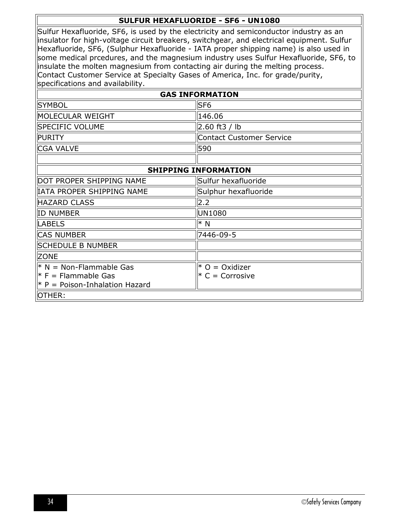### **SULFUR HEXAFLUORIDE - SF6 - UN1080**

Sulfur Hexafluoride, SF6, is used by the electricity and semiconductor industry as an insulator for high-voltage circuit breakers, switchgear, and electrical equipment. Sulfur Hexafluoride, SF6, (Sulphur Hexafluoride - IATA proper shipping name) is also used in some medical prcedures, and the magnesium industry uses Sulfur Hexafluoride, SF6, to insulate the molten magnesium from contacting air during the melting process. [Contact Customer Service](http://www.americangasgroup.com/contact.htm) at Specialty Gases of America, Inc. for grade/purity,  $\left\|$ specifications and availability.

| <b>GAS INFORMATION</b>           |                                 |  |
|----------------------------------|---------------------------------|--|
| <b>SYMBOL</b>                    | SF <sub>6</sub>                 |  |
| <b>MOLECULAR WEIGHT</b>          | 146.06                          |  |
| <b>SPECIFIC VOLUME</b>           | 2.60 ft3 $/$ lb                 |  |
| <b>PURITY</b>                    | <b>Contact Customer Service</b> |  |
| <b>CGA VALVE</b>                 | 590                             |  |
|                                  |                                 |  |
|                                  | <b>SHIPPING INFORMATION</b>     |  |
| DOT PROPER SHIPPING NAME         | Sulfur hexafluoride             |  |
| <b>IATA PROPER SHIPPING NAME</b> | Sulphur hexafluoride            |  |
| <b>HAZARD CLASS</b>              | 2.2                             |  |
| <b>ID NUMBER</b>                 | UN1080                          |  |
| <b>LABELS</b>                    | $* N$                           |  |
| <b>CAS NUMBER</b>                | 7446-09-5                       |  |
| <b>SCHEDULE B NUMBER</b>         |                                 |  |
| <b>ZONE</b>                      |                                 |  |
| $* N = Non-Flammable Gas$        | $*$ O = Oxidizer                |  |
| $*$ F = Flammable Gas            | $C =$ Corrosive                 |  |
| $*$ P = Poison-Inhalation Hazard |                                 |  |
| OTHER:                           |                                 |  |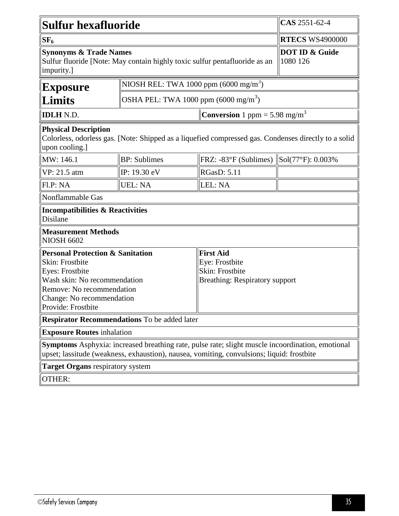| Sulfur hexafluoride                                                                                                                                                                                  |                                                 |                                                                                                | CAS 2551-62-4                         |  |
|------------------------------------------------------------------------------------------------------------------------------------------------------------------------------------------------------|-------------------------------------------------|------------------------------------------------------------------------------------------------|---------------------------------------|--|
| SF <sub>6</sub>                                                                                                                                                                                      |                                                 |                                                                                                | <b>RTECS WS4900000</b>                |  |
| <b>Synonyms &amp; Trade Names</b><br>Sulfur fluoride [Note: May contain highly toxic sulfur pentafluoride as an<br>impurity.]                                                                        |                                                 |                                                                                                | <b>DOT ID &amp; Guide</b><br>1080 126 |  |
| Exposure                                                                                                                                                                                             | NIOSH REL: TWA 1000 ppm $(6000 \text{ mg/m}^3)$ |                                                                                                |                                       |  |
| Limits                                                                                                                                                                                               | OSHA PEL: TWA 1000 ppm $(6000 \text{ mg/m}^3)$  |                                                                                                |                                       |  |
| <b>IDLH N.D.</b>                                                                                                                                                                                     |                                                 | <b>Conversion</b> 1 ppm = $5.98 \text{ mg/m}^3$                                                |                                       |  |
| <b>Physical Description</b><br>Colorless, odorless gas. [Note: Shipped as a liquefied compressed gas. Condenses directly to a solid<br>upon cooling.]                                                |                                                 |                                                                                                |                                       |  |
| MW: 146.1                                                                                                                                                                                            | <b>BP:</b> Sublimes                             | FRZ: $-83^{\circ}$ F (Sublimes) $\text{Sol}(77^{\circ}$ F): 0.003%                             |                                       |  |
| VP: 21.5 atm                                                                                                                                                                                         | IP: 19.30 eV                                    | <b>RGasD: 5.11</b>                                                                             |                                       |  |
| Fl.P: NA                                                                                                                                                                                             | <b>UEL: NA</b>                                  | LEL: NA                                                                                        |                                       |  |
| Nonflammable Gas                                                                                                                                                                                     |                                                 |                                                                                                |                                       |  |
| <b>Incompatibilities &amp; Reactivities</b><br>Disilane                                                                                                                                              |                                                 |                                                                                                |                                       |  |
| <b>Measurement Methods</b><br><b>NIOSH 6602</b>                                                                                                                                                      |                                                 |                                                                                                |                                       |  |
| <b>Personal Protection &amp; Sanitation</b><br>Skin: Frostbite<br>Eyes: Frostbite<br>Wash skin: No recommendation<br>Remove: No recommendation<br>Change: No recommendation<br>Provide: Frostbite    |                                                 | <b>First Aid</b><br>Eye: Frostbite<br>Skin: Frostbite<br><b>Breathing: Respiratory support</b> |                                       |  |
| <b>Respirator Recommendations</b> To be added later                                                                                                                                                  |                                                 |                                                                                                |                                       |  |
| <b>Exposure Routes inhalation</b>                                                                                                                                                                    |                                                 |                                                                                                |                                       |  |
| <b>Symptoms</b> Asphyxia: increased breathing rate, pulse rate; slight muscle incoordination, emotional<br>upset; lassitude (weakness, exhaustion), nausea, vomiting, convulsions; liquid: frostbite |                                                 |                                                                                                |                                       |  |
| <b>Target Organs</b> respiratory system                                                                                                                                                              |                                                 |                                                                                                |                                       |  |
| <b>OTHER:</b>                                                                                                                                                                                        |                                                 |                                                                                                |                                       |  |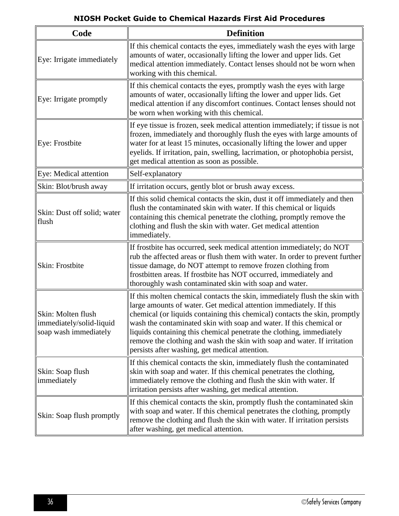## **NIOSH Pocket Guide to Chemical Hazards First Aid Procedures**

| Code                                                                    | <b>Definition</b>                                                                                                                                                                                                                                                                                                                                                                                                                                                                                           |
|-------------------------------------------------------------------------|-------------------------------------------------------------------------------------------------------------------------------------------------------------------------------------------------------------------------------------------------------------------------------------------------------------------------------------------------------------------------------------------------------------------------------------------------------------------------------------------------------------|
| Eye: Irrigate immediately                                               | If this chemical contacts the eyes, immediately wash the eyes with large<br>amounts of water, occasionally lifting the lower and upper lids. Get<br>medical attention immediately. Contact lenses should not be worn when<br>working with this chemical.                                                                                                                                                                                                                                                    |
| Eye: Irrigate promptly                                                  | If this chemical contacts the eyes, promptly wash the eyes with large<br>amounts of water, occasionally lifting the lower and upper lids. Get<br>medical attention if any discomfort continues. Contact lenses should not<br>be worn when working with this chemical.                                                                                                                                                                                                                                       |
| Eye: Frostbite                                                          | If eye tissue is frozen, seek medical attention immediately; if tissue is not<br>frozen, immediately and thoroughly flush the eyes with large amounts of<br>water for at least 15 minutes, occasionally lifting the lower and upper<br>eyelids. If irritation, pain, swelling, lacrimation, or photophobia persist,<br>get medical attention as soon as possible.                                                                                                                                           |
| Eye: Medical attention                                                  | Self-explanatory                                                                                                                                                                                                                                                                                                                                                                                                                                                                                            |
| Skin: Blot/brush away                                                   | If irritation occurs, gently blot or brush away excess.                                                                                                                                                                                                                                                                                                                                                                                                                                                     |
| Skin: Dust off solid; water<br>flush                                    | If this solid chemical contacts the skin, dust it off immediately and then<br>flush the contaminated skin with water. If this chemical or liquids<br>containing this chemical penetrate the clothing, promptly remove the<br>clothing and flush the skin with water. Get medical attention<br>immediately.                                                                                                                                                                                                  |
| Skin: Frostbite                                                         | If frostbite has occurred, seek medical attention immediately; do NOT<br>rub the affected areas or flush them with water. In order to prevent further<br>tissue damage, do NOT attempt to remove frozen clothing from<br>frostbitten areas. If frostbite has NOT occurred, immediately and<br>thoroughly wash contaminated skin with soap and water.                                                                                                                                                        |
| Skin: Molten flush<br>immediately/solid-liquid<br>soap wash immediately | If this molten chemical contacts the skin, immediately flush the skin with<br>large amounts of water. Get medical attention immediately. If this<br>chemical (or liquids containing this chemical) contacts the skin, promptly<br>wash the contaminated skin with soap and water. If this chemical or<br>liquids containing this chemical penetrate the clothing, immediately<br>remove the clothing and wash the skin with soap and water. If irritation<br>persists after washing, get medical attention. |
| Skin: Soap flush<br>immediately                                         | If this chemical contacts the skin, immediately flush the contaminated<br>skin with soap and water. If this chemical penetrates the clothing,<br>immediately remove the clothing and flush the skin with water. If<br>irritation persists after washing, get medical attention.                                                                                                                                                                                                                             |
| Skin: Soap flush promptly                                               | If this chemical contacts the skin, promptly flush the contaminated skin<br>with soap and water. If this chemical penetrates the clothing, promptly<br>remove the clothing and flush the skin with water. If irritation persists<br>after washing, get medical attention.                                                                                                                                                                                                                                   |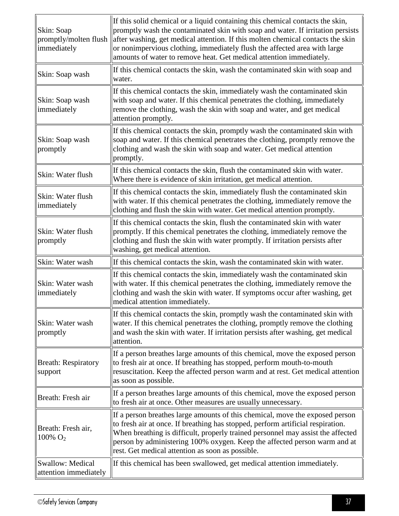| Skin: Soap<br>promptly/molten flush<br>immediately | If this solid chemical or a liquid containing this chemical contacts the skin,<br>promptly wash the contaminated skin with soap and water. If irritation persists<br>after washing, get medical attention. If this molten chemical contacts the skin<br>or nonimpervious clothing, immediately flush the affected area with large<br>amounts of water to remove heat. Get medical attention immediately. |
|----------------------------------------------------|----------------------------------------------------------------------------------------------------------------------------------------------------------------------------------------------------------------------------------------------------------------------------------------------------------------------------------------------------------------------------------------------------------|
| Skin: Soap wash                                    | If this chemical contacts the skin, wash the contaminated skin with soap and<br>water.                                                                                                                                                                                                                                                                                                                   |
| Skin: Soap wash<br>immediately                     | If this chemical contacts the skin, immediately wash the contaminated skin<br>with soap and water. If this chemical penetrates the clothing, immediately<br>remove the clothing, wash the skin with soap and water, and get medical<br>attention promptly.                                                                                                                                               |
| Skin: Soap wash<br>promptly                        | If this chemical contacts the skin, promptly wash the contaminated skin with<br>soap and water. If this chemical penetrates the clothing, promptly remove the<br>clothing and wash the skin with soap and water. Get medical attention<br>promptly.                                                                                                                                                      |
| Skin: Water flush                                  | If this chemical contacts the skin, flush the contaminated skin with water.<br>Where there is evidence of skin irritation, get medical attention.                                                                                                                                                                                                                                                        |
| Skin: Water flush<br>immediately                   | If this chemical contacts the skin, immediately flush the contaminated skin<br>with water. If this chemical penetrates the clothing, immediately remove the<br>clothing and flush the skin with water. Get medical attention promptly.                                                                                                                                                                   |
| Skin: Water flush<br>promptly                      | If this chemical contacts the skin, flush the contaminated skin with water<br>promptly. If this chemical penetrates the clothing, immediately remove the<br>clothing and flush the skin with water promptly. If irritation persists after<br>washing, get medical attention.                                                                                                                             |
| Skin: Water wash                                   | If this chemical contacts the skin, wash the contaminated skin with water.                                                                                                                                                                                                                                                                                                                               |
| Skin: Water wash<br>immediately                    | If this chemical contacts the skin, immediately wash the contaminated skin<br>with water. If this chemical penetrates the clothing, immediately remove the<br>clothing and wash the skin with water. If symptoms occur after washing, get<br>medical attention immediately.                                                                                                                              |
| Skin: Water wash<br>promptly                       | If this chemical contacts the skin, promptly wash the contaminated skin with<br>water. If this chemical penetrates the clothing, promptly remove the clothing<br>and wash the skin with water. If irritation persists after washing, get medical<br>attention.                                                                                                                                           |
| <b>Breath: Respiratory</b><br>support              | If a person breathes large amounts of this chemical, move the exposed person<br>to fresh air at once. If breathing has stopped, perform mouth-to-mouth<br>resuscitation. Keep the affected person warm and at rest. Get medical attention<br>as soon as possible.                                                                                                                                        |
| Breath: Fresh air                                  | If a person breathes large amounts of this chemical, move the exposed person<br>to fresh air at once. Other measures are usually unnecessary.                                                                                                                                                                                                                                                            |
| Breath: Fresh air,<br>$100\%$ O <sub>2</sub>       | If a person breathes large amounts of this chemical, move the exposed person<br>to fresh air at once. If breathing has stopped, perform artificial respiration.<br>When breathing is difficult, properly trained personnel may assist the affected<br>person by administering 100% oxygen. Keep the affected person warm and at<br>rest. Get medical attention as soon as possible.                      |
| <b>Swallow: Medical</b><br>attention immediately   | If this chemical has been swallowed, get medical attention immediately.                                                                                                                                                                                                                                                                                                                                  |